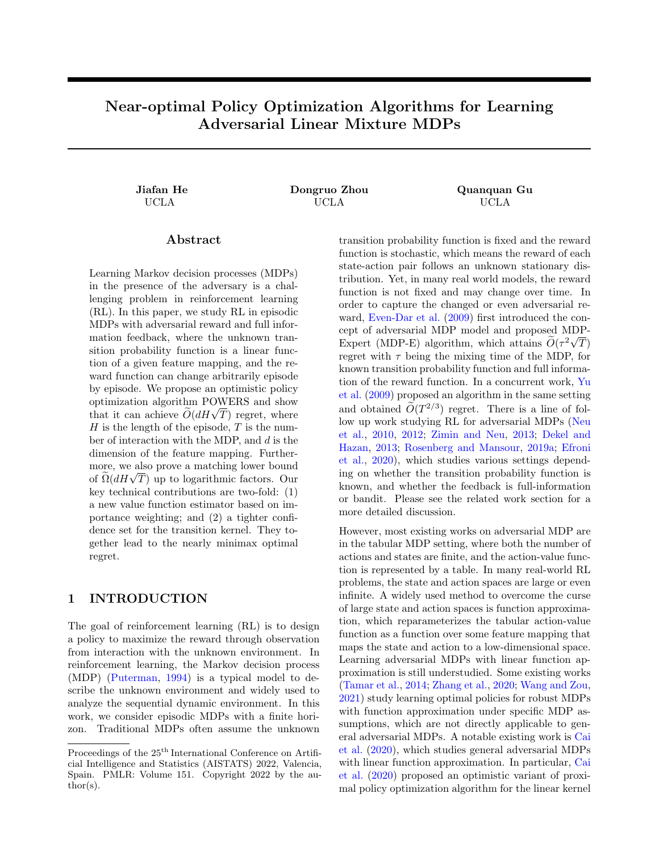# Near-optimal Policy Optimization Algorithms for Learning Adversarial Linear Mixture MDPs

Jiafan He Dongruo Zhou Quanquan Gu UCLA UCLA UCLA

# Abstract

Learning Markov decision processes (MDPs) in the presence of the adversary is a challenging problem in reinforcement learning (RL). In this paper, we study RL in episodic MDPs with adversarial reward and full information feedback, where the unknown transition probability function is a linear function of a given feature mapping, and the reward function can change arbitrarily episode by episode. We propose an optimistic policy optimization algorithm POWERS and show optimization algorithm POWERS and show<br>that it can achieve  $\widetilde{O}(dH\sqrt{T})$  regret, where  $H$  is the length of the episode,  $T$  is the number of interaction with the MDP, and d is the dimension of the feature mapping. Furthermore, we also prove a matching lower bound more, we also prove a matching lower bound<br>of  $\widetilde{\Omega}(dH\sqrt{T})$  up to logarithmic factors. Our key technical contributions are two-fold: (1) a new value function estimator based on importance weighting; and (2) a tighter confidence set for the transition kernel. They together lead to the nearly minimax optimal regret.

# 1 INTRODUCTION

The goal of reinforcement learning (RL) is to design a policy to maximize the reward through observation from interaction with the unknown environment. In reinforcement learning, the Markov decision process (MDP) [\(Puterman,](#page-9-0) [1994\)](#page-9-0) is a typical model to describe the unknown environment and widely used to analyze the sequential dynamic environment. In this work, we consider episodic MDPs with a finite horizon. Traditional MDPs often assume the unknown transition probability function is fixed and the reward function is stochastic, which means the reward of each state-action pair follows an unknown stationary distribution. Yet, in many real world models, the reward function is not fixed and may change over time. In order to capture the changed or even adversarial reward, [Even-Dar et al.](#page-9-1) [\(2009\)](#page-9-1) first introduced the concept of adversarial MDP model and proposed MDP-Expert (MDP-E) algorithm, which attains  $\widetilde{O}(\tau^2\sqrt{T})$ regret with  $\tau$  being the mixing time of the MDP, for known transition probability function and full information of the reward function. In a concurrent work, [Yu](#page-10-0) [et al.](#page-10-0) [\(2009\)](#page-10-0) proposed an algorithm in the same setting and obtained  $\tilde{O}(T^{2/3})$  regret. There is a line of follow up work studying RL for adversarial MDPs [\(Neu](#page-9-2) [et al.,](#page-9-2) [2010,](#page-9-2) [2012;](#page-9-3) [Zimin and Neu,](#page-10-1) [2013;](#page-10-1) [Dekel and](#page-9-4) [Hazan,](#page-9-4) [2013;](#page-9-4) [Rosenberg and Mansour,](#page-10-2) [2019a;](#page-10-2) [Efroni](#page-9-5) [et al.,](#page-9-5) [2020\)](#page-9-5), which studies various settings depending on whether the transition probability function is known, and whether the feedback is full-information or bandit. Please see the related work section for a more detailed discussion.

However, most existing works on adversarial MDP are in the tabular MDP setting, where both the number of actions and states are finite, and the action-value function is represented by a table. In many real-world RL problems, the state and action spaces are large or even infinite. A widely used method to overcome the curse of large state and action spaces is function approximation, which reparameterizes the tabular action-value function as a function over some feature mapping that maps the state and action to a low-dimensional space. Learning adversarial MDPs with linear function approximation is still understudied. Some existing works [\(Tamar et al.,](#page-10-3) [2014;](#page-10-3) [Zhang et al.,](#page-10-4) [2020;](#page-10-4) [Wang and Zou,](#page-10-5) [2021\)](#page-10-5) study learning optimal policies for robust MDPs with function approximation under specific MDP assumptions, which are not directly applicable to general adversarial MDPs. A notable existing work is [Cai](#page-9-6) [et al.](#page-9-6) [\(2020\)](#page-9-6), which studies general adversarial MDPs with linear function approximation. In particular, [Cai](#page-9-6) [et al.](#page-9-6) [\(2020\)](#page-9-6) proposed an optimistic variant of proximal policy optimization algorithm for the linear kernel

Proceedings of the  $25<sup>th</sup>$  International Conference on Artificial Intelligence and Statistics (AISTATS) 2022, Valencia, Spain. PMLR: Volume 151. Copyright 2022 by the au- $\text{thor}(s)$ .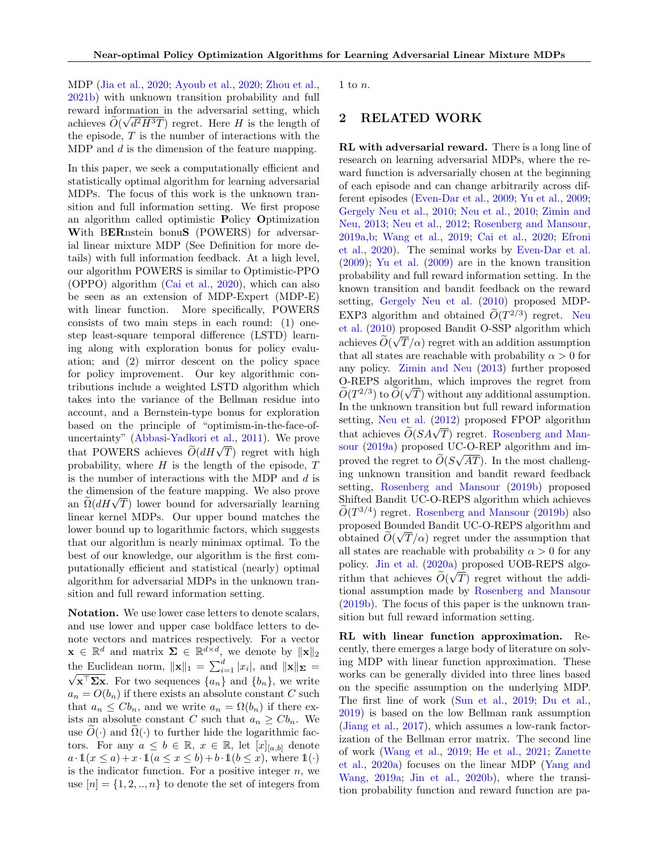MDP [\(Jia et al.,](#page-9-7) [2020;](#page-9-7) [Ayoub et al.,](#page-9-8) [2020;](#page-9-8) [Zhou et al.,](#page-10-6) [2021b\)](#page-10-6) with unknown transition probability and full reward information in the adversarial setting, which achieves  $O(\sqrt{d^2H^3T})$  regret. Here H is the length of the episode,  $T$  is the number of interactions with the MDP and d is the dimension of the feature mapping.

In this paper, we seek a computationally efficient and statistically optimal algorithm for learning adversarial MDPs. The focus of this work is the unknown transition and full information setting. We first propose an algorithm called optimistic Policy Optimization With BERnstein bonuS (POWERS) for adversarial linear mixture MDP (See Definition for more details) with full information feedback. At a high level, our algorithm POWERS is similar to Optimistic-PPO (OPPO) algorithm [\(Cai et al.,](#page-9-6) [2020\)](#page-9-6), which can also be seen as an extension of MDP-Expert (MDP-E) with linear function. More specifically, POWERS consists of two main steps in each round: (1) onestep least-square temporal difference (LSTD) learning along with exploration bonus for policy evaluation; and (2) mirror descent on the policy space for policy improvement. Our key algorithmic contributions include a weighted LSTD algorithm which takes into the variance of the Bellman residue into account, and a Bernstein-type bonus for exploration based on the principle of "optimism-in-the-face-ofuncertainty" [\(Abbasi-Yadkori et al.,](#page-9-9) [2011\)](#page-9-9). We prove that POWERS achieves  $\widetilde{O}(dH\sqrt{T})$  regret with high probability, where  $H$  is the length of the episode,  $T$ is the number of interactions with the MDP and  $d$  is the dimension of the feature mapping. We also prove the dimension of the reature mapping. We also prove<br>an  $\tilde{\Omega}(dH\sqrt{T})$  lower bound for adversarially learning linear kernel MDPs. Our upper bound matches the lower bound up to logarithmic factors, which suggests that our algorithm is nearly minimax optimal. To the best of our knowledge, our algorithm is the first computationally efficient and statistical (nearly) optimal algorithm for adversarial MDPs in the unknown transition and full reward information setting.

Notation. We use lower case letters to denote scalars, and use lower and upper case boldface letters to denote vectors and matrices respectively. For a vector  $\mathbf{x} \in \mathbb{R}^d$  and matrix  $\Sigma \in \mathbb{R}^{d \times d}$ , we denote by  $\|\mathbf{x}\|_2$ the Euclidean norm,  $\|\mathbf{x}\|_1 = \sum_{i=1}^d |x_i|$ , and  $\|\mathbf{x}\|_{\mathbf{\Sigma}} =$  $\sqrt{\mathbf{x}^{\top} \mathbf{\Sigma} \mathbf{x}}$ . For two sequences  $\{a_n\}$  and  $\{b_n\}$ , we write  $a_n = O(b_n)$  if there exists an absolute constant C such that  $a_n \leq C b_n$ , and we write  $a_n = \Omega(b_n)$  if there exists an absolute constant C such that  $a_n \geq C b_n$ . We use  $O(\cdot)$  and  $\Omega(\cdot)$  to further hide the logarithmic factors. For any  $a \leq b \in \mathbb{R}$ ,  $x \in \mathbb{R}$ , let  $[x]_{[a,b]}$  denote  $a \cdot \mathbb{1}(x \leq a) + x \cdot \mathbb{1}(a \leq x \leq b) + b \cdot \mathbb{1}(b \leq x)$ , where  $\mathbb{1}(\cdot)$ is the indicator function. For a positive integer  $n$ , we use  $[n] = \{1, 2, ..., n\}$  to denote the set of integers from 1 to  $n$ .

## 2 RELATED WORK

RL with adversarial reward. There is a long line of research on learning adversarial MDPs, where the reward function is adversarially chosen at the beginning of each episode and can change arbitrarily across different episodes [\(Even-Dar et al.,](#page-9-1) [2009;](#page-9-1) [Yu et al.,](#page-10-0) [2009;](#page-10-0) [Gergely Neu et al.,](#page-9-10) [2010;](#page-9-10) [Neu et al.,](#page-9-2) [2010;](#page-9-2) [Zimin and](#page-10-1) [Neu,](#page-10-1) [2013;](#page-10-1) [Neu et al.,](#page-9-3) [2012;](#page-9-3) [Rosenberg and Mansour,](#page-10-2) [2019a,](#page-10-2)[b;](#page-10-7) [Wang et al.,](#page-10-8) [2019;](#page-10-8) [Cai et al.,](#page-9-6) [2020;](#page-9-6) [Efroni](#page-9-5) [et al.,](#page-9-5) [2020\)](#page-9-5). The seminal works by [Even-Dar et al.](#page-9-1)  $(2009)$ ; [Yu et al.](#page-10-0)  $(2009)$  are in the known transition probability and full reward information setting. In the known transition and bandit feedback on the reward setting, [Gergely Neu et al.](#page-9-10) [\(2010\)](#page-9-10) proposed MDP-EXP3 algorithm and obtained  $\widetilde{O}(T^{2/3})$  regret. [Neu](#page-9-2) [et al.](#page-9-2) [\(2010\)](#page-9-2) proposed Bandit O-SSP algorithm which achieves  $O(\sqrt{T}/\alpha)$  regret with an addition assumption that all states are reachable with probability  $\alpha > 0$  for any policy. [Zimin and Neu](#page-10-1) [\(2013\)](#page-10-1) further proposed  $\overline{O}$ -REPS algorithm, which improves the regret from  $\widetilde{O}(T^{2/3})$  to  $\widetilde{O}(\sqrt{T})$  without any additional assumption. In the unknown transition but full reward information setting, [Neu et al.](#page-9-3) [\(2012\)](#page-9-3) proposed FPOP algorithm that achieves  $\widetilde{O}(SA\sqrt{T})$  regret. [Rosenberg and Man](#page-10-2)[sour](#page-10-2) [\(2019a\)](#page-10-2) proposed UC-O-REP algorithm and improved the regret to  $O(S\sqrt{AT})$ . In the most challenging unknown transition and bandit reward feedback setting, [Rosenberg and Mansour](#page-10-7) [\(2019b\)](#page-10-7) proposed Shifted Bandit UC-O-REPS algorithm which achieves  $\widetilde{O}(T^{3/4})$  regret. [Rosenberg and Mansour](#page-10-7) [\(2019b\)](#page-10-7) also proposed Bounded Bandit UC-O-REPS algorithm and obtained  $O(\sqrt{T}/\alpha)$  regret under the assumption that all states are reachable with probability  $\alpha > 0$  for any policy. [Jin et al.](#page-9-11)  $(2020a)$  proposed UOB-REPS algorithm that achieves  $O(\sqrt{T})$  regret without the additional assumption made by [Rosenberg and Mansour](#page-10-7) [\(2019b\)](#page-10-7). The focus of this paper is the unknown transition but full reward information setting.

RL with linear function approximation. Recently, there emerges a large body of literature on solving MDP with linear function approximation. These works can be generally divided into three lines based on the specific assumption on the underlying MDP. The first line of work [\(Sun et al.,](#page-10-9) [2019;](#page-10-9) [Du et al.,](#page-9-12) [2019\)](#page-9-12) is based on the low Bellman rank assumption [\(Jiang et al.,](#page-9-13) [2017\)](#page-9-13), which assumes a low-rank factorization of the Bellman error matrix. The second line of work [\(Wang et al.,](#page-10-8) [2019;](#page-10-8) [He et al.,](#page-9-14) [2021;](#page-9-14) [Zanette](#page-10-10) [et al.,](#page-10-10) [2020a\)](#page-10-10) focuses on the linear MDP [\(Yang and](#page-10-11) [Wang,](#page-10-11) [2019a;](#page-10-11) [Jin et al.,](#page-9-15) [2020b\)](#page-9-15), where the transition probability function and reward function are pa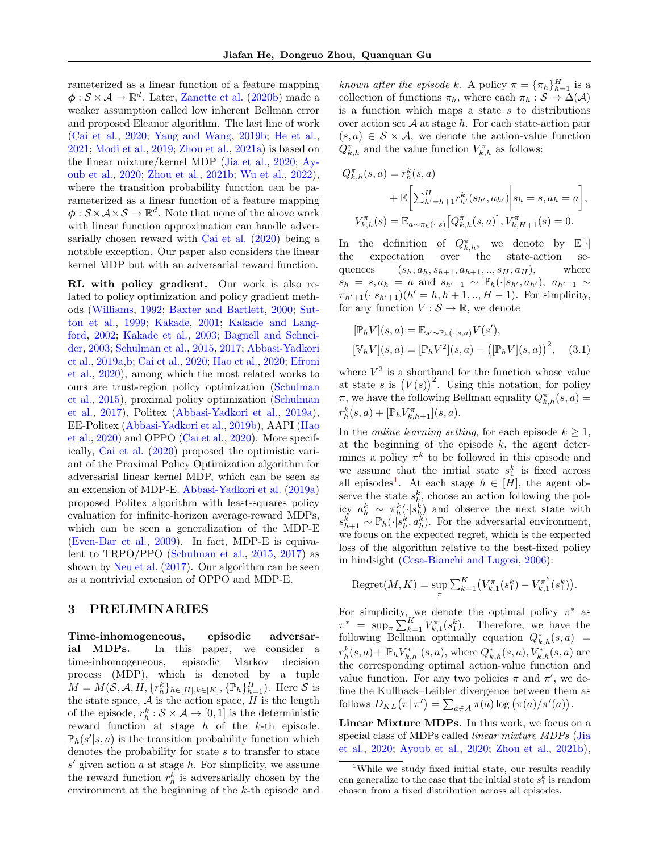rameterized as a linear function of a feature mapping  $\phi: \mathcal{S} \times \mathcal{A} \to \mathbb{R}^d$ . Later, [Zanette et al.](#page-10-12) [\(2020b\)](#page-10-12) made a weaker assumption called low inherent Bellman error and proposed Eleanor algorithm. The last line of work [\(Cai et al.,](#page-9-6) [2020;](#page-9-6) [Yang and Wang,](#page-10-13) [2019b;](#page-10-13) [He et al.,](#page-9-14) [2021;](#page-9-14) [Modi et al.,](#page-9-16) [2019;](#page-9-16) [Zhou et al.,](#page-10-14) [2021a\)](#page-10-14) is based on the linear mixture/kernel MDP [\(Jia et al.,](#page-9-7) [2020;](#page-9-7) [Ay](#page-9-8)[oub et al.,](#page-9-8) [2020;](#page-9-8) [Zhou et al.,](#page-10-6) [2021b;](#page-10-6) [Wu et al.,](#page-10-15) [2022\)](#page-10-15), where the transition probability function can be parameterized as a linear function of a feature mapping  $\phi: \mathcal{S} \times \mathcal{A} \times \mathcal{S} \to \mathbb{R}^d$ . Note that none of the above work with linear function approximation can handle adversarially chosen reward with [Cai et al.](#page-9-6) [\(2020\)](#page-9-6) being a notable exception. Our paper also considers the linear kernel MDP but with an adversarial reward function.

RL with policy gradient. Our work is also related to policy optimization and policy gradient methods [\(Williams,](#page-10-16) [1992;](#page-10-16) [Baxter and Bartlett,](#page-9-17) [2000;](#page-9-17) [Sut](#page-10-17)[ton et al.,](#page-10-17) [1999;](#page-10-17) [Kakade,](#page-9-18) [2001;](#page-9-18) [Kakade and Lang](#page-9-19)[ford,](#page-9-19) [2002;](#page-9-19) [Kakade et al.,](#page-9-20) [2003;](#page-9-20) [Bagnell and Schnei](#page-9-21)[der,](#page-9-21) [2003;](#page-9-21) [Schulman et al.,](#page-10-18) [2015,](#page-10-18) [2017;](#page-10-19) [Abbasi-Yadkori](#page-8-0) [et al.,](#page-8-0) [2019a](#page-8-0)[,b;](#page-9-22) [Cai et al.,](#page-9-6) [2020;](#page-9-6) [Hao et al.,](#page-9-23) [2020;](#page-9-23) [Efroni](#page-9-5) [et al.,](#page-9-5) [2020\)](#page-9-5), among which the most related works to ours are trust-region policy optimization [\(Schulman](#page-10-18) [et al.,](#page-10-18) [2015\)](#page-10-18), proximal policy optimization [\(Schulman](#page-10-19) [et al.,](#page-10-19) [2017\)](#page-10-19), Politex [\(Abbasi-Yadkori et al.,](#page-8-0) [2019a\)](#page-8-0), EE-Politex [\(Abbasi-Yadkori et al.,](#page-9-22) [2019b\)](#page-9-22), AAPI [\(Hao](#page-9-23) [et al.,](#page-9-23) [2020\)](#page-9-23) and OPPO [\(Cai et al.,](#page-9-6) [2020\)](#page-9-6). More specifically, [Cai et al.](#page-9-6) [\(2020\)](#page-9-6) proposed the optimistic variant of the Proximal Policy Optimization algorithm for adversarial linear kernel MDP, which can be seen as an extension of MDP-E. [Abbasi-Yadkori et al.](#page-8-0) [\(2019a\)](#page-8-0) proposed Politex algorithm with least-squares policy evaluation for infinite-horizon average-reward MDPs, which can be seen a generalization of the MDP-E [\(Even-Dar et al.,](#page-9-1) [2009\)](#page-9-1). In fact, MDP-E is equivalent to TRPO/PPO [\(Schulman et al.,](#page-10-18) [2015,](#page-10-18) [2017\)](#page-10-19) as shown by [Neu et al.](#page-9-24) [\(2017\)](#page-9-24). Our algorithm can be seen as a nontrivial extension of OPPO and MDP-E.

## 3 PRELIMINARIES

Time-inhomogeneous, episodic adversarial MDPs. In this paper, we consider a time-inhomogeneous, episodic Markov decision process (MDP), which is denoted by a tuple  $M = M(\mathcal{S}, \mathcal{A}, H, \{r_h^k\}_{h \in [H], k \in [K]}, \{\mathbb{P}_h\}_{h=1}^H)$ . Here  $\mathcal{S}$  is the state space,  $A$  is the action space,  $H$  is the length of the episode,  $r_h^k : \mathcal{S} \times \mathcal{A} \to [0,1]$  is the deterministic reward function at stage  $h$  of the  $k$ -th episode.  $\mathbb{P}_h(s'|s,a)$  is the transition probability function which denotes the probability for state s to transfer to state  $s'$  given action a at stage h. For simplicity, we assume the reward function  $r_h^k$  is adversarially chosen by the environment at the beginning of the k-th episode and

known after the episode k. A policy  $\pi = {\{\pi_h\}}_{h=1}^H$  is a collection of functions  $\pi_h$ , where each  $\pi_h : \mathcal{S} \to \Delta(\mathcal{A})$ is a function which maps a state  $s$  to distributions over action set  $A$  at stage  $h$ . For each state-action pair  $(s, a) \in S \times A$ , we denote the action-value function  $Q_{k,h}^{\pi}$  and the value function  $V_{k,h}^{\pi}$  as follows:

$$
Q_{k,h}^{\pi}(s, a) = r_h^k(s, a)
$$
  
+  $\mathbb{E}\left[\sum_{h'=h+1}^H r_{h'}^k(s_{h'}, a_{h'})\Big| s_h = s, a_h = a\right],$   
 $V_{k,h}^{\pi}(s) = \mathbb{E}_{a \sim \pi_h(\cdot|s)}\left[Q_{k,h}^{\pi}(s, a)\right], V_{k,H+1}^{\pi}(s) = 0.$ 

In the definition of  $Q_{k,h}^{\pi}$ , we denote by  $\mathbb{E}[\cdot]$ the expectation over the state-action sequences  $(s_h, a_h, s_{h+1}, a_{h+1}, ..., s_H, a_H)$ , where  $s_h = s, a_h = a$  and  $s_{h'+1} \sim \mathbb{P}_h(\cdot | s_{h'}, a_{h'})$ ,  $a_{h'+1} \sim$  $\pi_{h'+1}(\cdot|s_{h'+1})(h' = h, h+1, ..., H-1)$ . For simplicity, for any function  $V : \mathcal{S} \to \mathbb{R}$ , we denote

<span id="page-2-1"></span>
$$
[\mathbb{P}_h V](s, a) = \mathbb{E}_{s' \sim \mathbb{P}_h(\cdot | s, a)} V(s'), [\mathbb{V}_h V](s, a) = [\mathbb{P}_h V^2](s, a) - ([\mathbb{P}_h V](s, a))^{2}, (3.1)
$$

where  $V^2$  is a shorthand for the function whose value at state s is  $(V(s))^2$ . Using this notation, for policy  $\pi$ , we have the following Bellman equality  $Q_{k,h}^{\pi}(s, a) =$  $r_h^k(s, a) + [\mathbb{P}_h V_{k,h+1}^{\pi}](s, a).$ 

In the *online learning setting*, for each episode  $k \geq 1$ , at the beginning of the episode  $k$ , the agent determines a policy  $\pi^k$  to be followed in this episode and we assume that the initial state  $s_1^k$  is fixed across all episodes<sup>[1](#page-2-0)</sup>. At each stage  $h \in [H]$ , the agent observe the state  $s_h^k$ , choose an action following the policy  $a_h^k \sim \pi_h^k(\cdot|s_h^k)$  and observe the next state with  $s_{h+1}^{\vec{k}} \sim \mathbb{P}_h(\cdot | s_h^{\vec{k}}, a_h^{\vec{k}})$ . For the adversarial environment, we focus on the expected regret, which is the expected loss of the algorithm relative to the best-fixed policy in hindsight [\(Cesa-Bianchi and Lugosi,](#page-9-25) [2006\)](#page-9-25):

Regret
$$
(M, K)
$$
 = sup  $\sum_{\pi}^{K} \left( V_{k,1}(\mathbf{s}_1^k) - V_{k,1}^{\pi^k}(\mathbf{s}_1^k) \right)$ .

For simplicity, we denote the optimal policy  $\pi^*$  as  $\pi^* = \sup_{\pi} \sum_{k=1}^{K} V_{k,1}^{\pi}(s_1^k)$ . Therefore, we have the following Bellman optimally equation  $Q_{k,h}^*(s, a) =$  $r_h^k(s, a) + [\mathbb{P}_h V_{k,h}^*](s, a)$ , where  $Q_{k,h}^*(s, a)$ ,  $V_{k,h}^*(s, a)$  are the corresponding optimal action-value function and value function. For any two policies  $\pi$  and  $\pi'$ , we define the Kullback–Leibler divergence between them as follows  $D_{KL}(\pi || \pi') = \sum_{a \in \mathcal{A}} \pi(a) \log (\pi(a)/\pi'(a)).$ 

Linear Mixture MDPs. In this work, we focus on a special class of MDPs called linear mixture MDPs [\(Jia](#page-9-7) [et al.,](#page-9-7) [2020;](#page-9-7) [Ayoub et al.,](#page-9-8) [2020;](#page-9-8) [Zhou et al.,](#page-10-6) [2021b\)](#page-10-6),

<span id="page-2-0"></span><sup>&</sup>lt;sup>1</sup>While we study fixed initial state, our results readily can generalize to the case that the initial state  $s_1^k$  is random chosen from a fixed distribution across all episodes.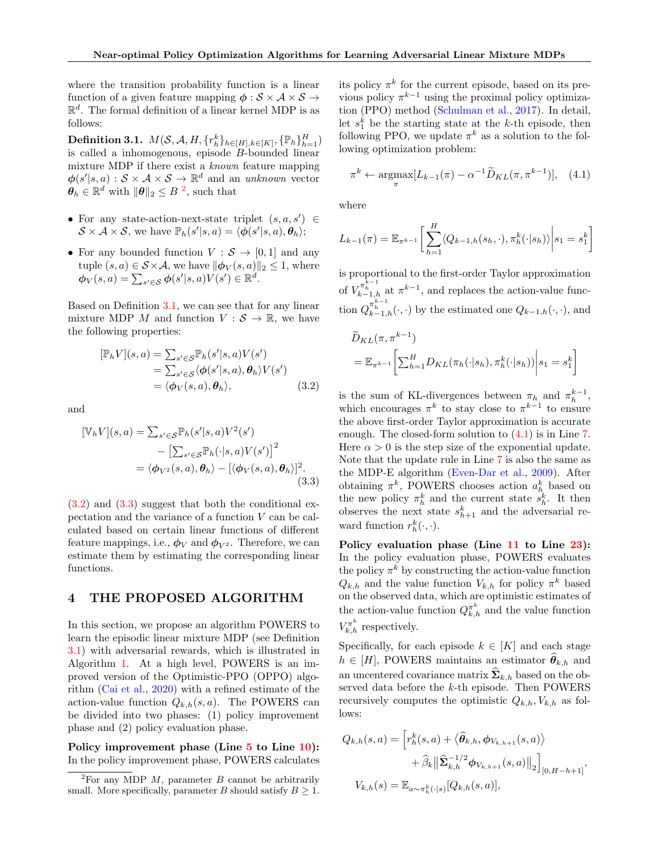where the transition probability function is a linear function of a given feature mapping  $\phi : \mathcal{S} \times \mathcal{A} \times \mathcal{S} \rightarrow$  $\mathbb{R}^d$ . The formal definition of a linear kernel MDP is as follows:

<span id="page-3-1"></span>Definition 3.1.  $M(\mathcal{S}, \mathcal{A}, H, \{r_h^k\}_{h\in[H], k\in[K]}, \{\mathbb{P}_h\}_{h=1}^H)$ is called a inhomogenous, episode B-bounded linear mixture MDP if there exist a known feature mapping  $\phi(s' | s, a) : \mathcal{S} \times \mathcal{A} \times \mathcal{S} \rightarrow \mathbb{R}^d$  and an unknown vector  $\boldsymbol{\theta}_h \in \mathbb{R}^{d'}$  with  $\|\boldsymbol{\theta}\|_2 \leq B^{-2}$  $\|\boldsymbol{\theta}\|_2 \leq B^{-2}$  $\|\boldsymbol{\theta}\|_2 \leq B^{-2}$ , such that

- For any state-action-next-state triplet  $(s, a, s') \in$  $S \times A \times S$ , we have  $\mathbb{P}_h(s'|s,a) = \langle \boldsymbol{\phi}(s'|s,a), \boldsymbol{\theta}_h \rangle;$
- For any bounded function  $V : \mathcal{S} \to [0, 1]$  and any tuple  $(s, a) \in S \times A$ , we have  $\|\phi_V(s, a)\|_2 \leq 1$ , where  $\boldsymbol{\phi}_V(s,a) = \sum_{s' \in \mathcal{S}} \boldsymbol{\phi}(s'|s,a) V(s') \in \mathbb{R}^d.$

Based on Definition [3.1,](#page-3-1) we can see that for any linear mixture MDP M and function  $V : \mathcal{S} \to \mathbb{R}$ , we have the following properties:

$$
[\mathbb{P}_h V](s, a) = \sum_{s' \in \mathcal{S}} \mathbb{P}_h(s'|s, a) V(s')
$$
  
= 
$$
\sum_{s' \in \mathcal{S}} \langle \phi(s'|s, a), \theta_h \rangle V(s')
$$
  
= 
$$
\langle \phi_V(s, a), \theta_h \rangle,
$$
 (3.2)

and

$$
[\mathbb{V}_h V](s, a) = \sum_{s' \in \mathcal{S}} \mathbb{P}_h(s'|s, a) V^2(s')
$$
  
- 
$$
\left[ \sum_{s' \in \mathcal{S}} \mathbb{P}_h(\cdot|s, a) V(s') \right]^2
$$
  
=  $\langle \phi_{V^2}(s, a), \theta_h \rangle - [\langle \phi_V(s, a), \theta_h \rangle]^2.$  (3.3)

 $(3.2)$  and  $(3.3)$  suggest that both the conditional expectation and the variance of a function V can be calculated based on certain linear functions of different feature mappings, i.e.,  $\phi_V$  and  $\phi_{V^2}$ . Therefore, we can estimate them by estimating the corresponding linear functions.

#### <span id="page-3-5"></span>4 THE PROPOSED ALGORITHM

In this section, we propose an algorithm POWERS to learn the episodic linear mixture MDP (see Definition [3.1\)](#page-3-1) with adversarial rewards, which is illustrated in Algorithm [1.](#page-4-0) At a high level, POWERS is an improved version of the Optimistic-PPO (OPPO) algorithm [\(Cai et al.,](#page-9-6) [2020\)](#page-9-6) with a refined estimate of the action-value function  $Q_{k,h}(s, a)$ . The POWERS can be divided into two phases: (1) policy improvement phase and (2) policy evaluation phase.

Policy improvement phase (Line [5](#page-4-1) to Line [10\)](#page-4-2): In the policy improvement phase, POWERS calculates

its policy  $\pi^k$  for the current episode, based on its previous policy  $\pi^{k-1}$  using the proximal policy optimization (PPO) method [\(Schulman et al.,](#page-10-19) [2017\)](#page-10-19). In detail, let  $s_1^k$  be the starting state at the k-th episode, then following PPO, we update  $\pi^k$  as a solution to the following optimization problem:

<span id="page-3-4"></span>
$$
\pi^{k} \leftarrow \underset{\pi}{\operatorname{argmax}} [L_{k-1}(\pi) - \alpha^{-1} \widetilde{D}_{KL}(\pi, \pi^{k-1})], \quad (4.1)
$$

where

$$
L_{k-1}(\pi) = \mathbb{E}_{\pi^{k-1}} \left[ \sum_{h=1}^{H} \langle Q_{k-1,h}(s_h, \cdot), \pi_h^k(\cdot | s_h) \rangle \middle| s_1 = s_1^k \right]
$$

is proportional to the first-order Taylor approximation of  $V_{k-1,h}^{\pi_{h-1}^{k-1}}$  at  $\pi^{k-1}$ , and replaces the action-value function  $Q_{k-1,h}^{\pi^{k-1}_{h-1}}(\cdot,\cdot)$  by the estimated one  $Q_{k-1,h}(\cdot,\cdot)$ , and

$$
\widetilde{D}_{KL}(\pi, \pi^{k-1})
$$
\n
$$
= \mathbb{E}_{\pi^{k-1}} \left[ \sum_{h=1}^{H} D_{KL}(\pi_h(\cdot|s_h), \pi_h^k(\cdot|s_h)) \middle| s_1 = s_1^k \right]
$$

<span id="page-3-2"></span>is the sum of KL-divergences between  $\pi_h$  and  $\pi_h^{k-1}$ , which encourages  $\pi^k$  to stay close to  $\pi^{k-1}$  to ensure the above first-order Taylor approximation is accurate enough. The closed-form solution to [\(4.1\)](#page-3-4) is in Line [7.](#page-4-3) Here  $\alpha > 0$  is the step size of the exponential update. Note that the update rule in Line [7](#page-4-3) is also the same as the MDP-E algorithm [\(Even-Dar et al.,](#page-9-1) [2009\)](#page-9-1). After obtaining  $\pi^k$ , POWERS chooses action  $a_h^k$  based on the new policy  $\pi_h^k$  and the current state  $s_h^k$ . It then observes the next state  $s_{h+1}^k$  and the adversarial reward function  $r_h^k(\cdot, \cdot)$ .

<span id="page-3-3"></span>Policy evaluation phase (Line [11](#page-4-4) to Line [23\)](#page-4-5): In the policy evaluation phase, POWERS evaluates the policy  $\pi^k$  by constructing the action-value function  $Q_{k,h}$  and the value function  $V_{k,h}$  for policy  $\pi^k$  based on the observed data, which are optimistic estimates of the action-value function  $Q_{k,h}^{\pi^k}$  and the value function  $V_{k,h}^{\pi^k}$  respectively.

Specifically, for each episode  $k \in [K]$  and each stage  $h \in [H]$ , POWERS maintains an estimator  $\hat{\theta}_{k,h}$  and an uncentered covariance matrix  $\hat{\Sigma}_{k,h}$  based on the observed data before the k-th episode. Then POWERS recursively computes the optimistic  $Q_{k,h}, V_{k,h}$  as follows:

$$
Q_{k,h}(s,a) = \left[ r_h^k(s,a) + \langle \hat{\theta}_{k,h}, \phi_{V_{k,h+1}}(s,a) \rangle \right.+ \hat{\beta}_k \left\| \hat{\Sigma}_{k,h}^{-1/2} \phi_{V_{k,h+1}}(s,a) \right\|_2 \right]_{[0,H-h+1]},
$$
  

$$
V_{k,h}(s) = \mathbb{E}_{a \sim \pi_h^k(\cdot|s)}[Q_{k,h}(s,a)],
$$

<span id="page-3-0"></span> ${}^{2}$ For any MDP  $M$ , parameter  $B$  cannot be arbitrarily small. More specifically, parameter B should satisfy  $B \geq 1$ .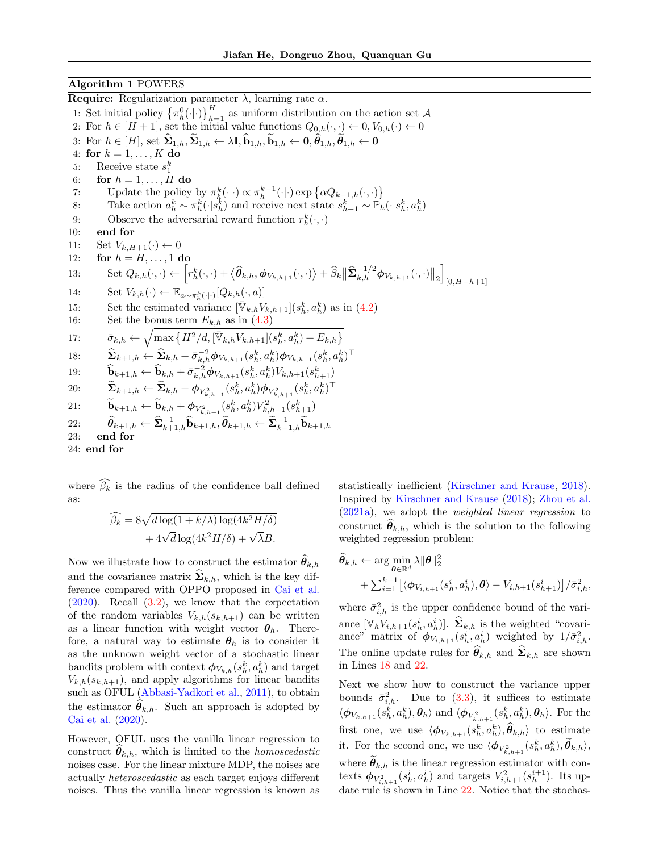#### Algorithm 1 POWERS

<span id="page-4-4"></span><span id="page-4-3"></span><span id="page-4-2"></span><span id="page-4-1"></span><span id="page-4-0"></span>**Require:** Regularization parameter  $\lambda$ , learning rate  $\alpha$ . 1: Set initial policy  $\{\pi_h^0(\cdot|\cdot)\}_{h=1}^H$  as uniform distribution on the action set A 2: For  $h \in [H+1]$ , set the initial value functions  $Q_{0,h}(\cdot, \cdot) \leftarrow 0, V_{0,h}(\cdot) \leftarrow 0$ 3: For  $h \in [H]$ , set  $\hat{\Sigma}_{1,h}, \hat{\Sigma}_{1,h} \leftarrow \lambda \mathbf{I}, \hat{\mathbf{b}}_{1,h}, \hat{\mathbf{b}}_{1,h} \leftarrow \mathbf{0}, \hat{\theta}_{1,h}, \hat{\theta}_{1,h} \leftarrow \mathbf{0}$ 4: for  $k = 1, ..., K$  do 5: Receive state  $s_1^k$ 6: for  $h = 1, \ldots, H$  do 7: Update the policy by  $\pi_h^k(\cdot|\cdot) \propto \pi_h^{k-1}(\cdot|\cdot) \exp\{\alpha Q_{k-1,h}(\cdot,\cdot)\}\$ 8: Take action  $a_h^k \sim \pi_h^k(\cdot | s_h^k)$  and receive next state  $s_{h+1}^k \sim \mathbb{P}_h(\cdot | s_h^k, a_h^k)$ 9: Observe the adversarial reward function  $r_h^k(\cdot, \cdot)$ 10: end for 11: Set  $V_{k,H+1}(\cdot) \leftarrow 0$ 12: for  $h = H, \ldots, 1$  do 13: Set  $Q_{k,h}(\cdot,\cdot) \leftarrow \left[ r_h^k(\cdot,\cdot) + \langle \hat{\theta}_{k,h}, \phi_{V_{k,h+1}}(\cdot,\cdot) \rangle + \widehat{\beta}_k \|\widehat{\mathbf{\Sigma}}_{k,h}^{-1/2} \phi_{V_{k,h+1}}(\cdot,\cdot) \|_2 \right]$  $[0, H-h+1]$ 14: Set  $V_{k,h}(\cdot) \leftarrow \mathbb{E}_{a \sim \pi_h^k(\cdot|\cdot)}[Q_{k,h}(\cdot, a)]$ 15: Set the estimated variance  $[\bar{\mathbb{V}}_{k,h} V_{k,h+1}](s_h^k, a_h^k)$  as in [\(4.2\)](#page-5-0) 16: Set the bonus term  $E_{k,h}$  as in  $(4.3)$ 17:  $\bar{\sigma}_{k,h} \leftarrow \sqrt{\max \{H^2/d, [\bar{\mathbb{V}}_{k,h}V_{k,h+1}](s_h^k, a_h^k) + E_{k,h}\}}$ 18:  $\hat{\Sigma}_{k+1,h} \leftarrow \hat{\Sigma}_{k,h} + \bar{\sigma}_{k,h}^{-2} \phi_{V_{k,h+1}}(s_h^k, a_h^k) \phi_{V_{k,h+1}}(s_h^k, a_h^k)^\top$ 19:  $\hat{\mathbf{b}}_{k+1,h} \leftarrow \hat{\mathbf{b}}_{k,h} + \bar{\sigma}_{k,h}^{-2} \phi_{V_{k,h+1}}(s_h^k, a_h^k) V_{k,h+1}(s_{h+1}^k)$ 20:  $\qquad \widetilde{\mathbf{\Sigma}}_{k+1,h} \leftarrow \widetilde{\mathbf{\Sigma}}_{k,h} + \phi_{V_{k,h+1}^2}(s_h^k, a_h^k) \phi_{V_{k,h+1}^2}(s_h^k, a_h^k)^\top$ 21:  $\mathbf{b}_{k+1,h} \leftarrow \mathbf{b}_{k,h} + \phi_{V_{k,h+1}^2}(s_h^k, a_h^k) V_{k,h+1}^2(s_{h+1}^k)$  $\widehat{\theta}_{k+1,h} \leftarrow \widehat{\mathbf{\Sigma}}_{k+1,h}^{-1} \widehat{\mathbf{b}}_{k+1,h}, \widetilde{\theta}_{k+1,h} \leftarrow \widetilde{\mathbf{\Sigma}}_{k+1,h}^{-1} \widetilde{\mathbf{b}}_{k+1,h}$ 23: end for 24: end for

<span id="page-4-5"></span>where  $\widehat{\beta_k}$  is the radius of the confidence ball defined as:

$$
\widehat{\beta_k} = 8\sqrt{d\log(1 + k/\lambda)\log(4k^2H/\delta)}
$$

$$
+ 4\sqrt{d}\log(4k^2H/\delta) + \sqrt{\lambda}B.
$$

Now we illustrate how to construct the estimator  $\theta_{k,h}$ and the covariance matrix  $\dot{\Sigma}_{k,h}$ , which is the key difference compared with OPPO proposed in [Cai et al.](#page-9-6) [\(2020\)](#page-9-6). Recall [\(3.2\)](#page-3-2), we know that the expectation of the random variables  $V_{k,h}(s_{k,h+1})$  can be written as a linear function with weight vector  $\theta_h$ . Therefore, a natural way to estimate  $\theta_h$  is to consider it as the unknown weight vector of a stochastic linear bandits problem with context  $\phi_{V_{k,h}}(s_h^k, a_h^k)$  and target  $V_{k,h}(s_{k,h+1})$ , and apply algorithms for linear bandits such as OFUL [\(Abbasi-Yadkori et al.,](#page-9-9) [2011\)](#page-9-9), to obtain the estimator  $\theta_{k,h}$ . Such an approach is adopted by [Cai et al.](#page-9-6) [\(2020\)](#page-9-6).

However, OFUL uses the vanilla linear regression to construct  $\theta_{k,h}$ , which is limited to the *homoscedastic* noises case. For the linear mixture MDP, the noises are actually heteroscedastic as each target enjoys different noises. Thus the vanilla linear regression is known as <span id="page-4-8"></span><span id="page-4-7"></span><span id="page-4-6"></span>statistically inefficient [\(Kirschner and Krause,](#page-9-26) [2018\)](#page-9-26). Inspired by [Kirschner and Krause](#page-9-26) [\(2018\)](#page-9-26); [Zhou et al.](#page-10-14) [\(2021a\)](#page-10-14), we adopt the weighted linear regression to construct  $\widehat{\theta}_{k,h}$ , which is the solution to the following weighted regression problem:

$$
\widehat{\theta}_{k,h} \leftarrow \arg\min_{\boldsymbol{\theta} \in \mathbb{R}^d} \lambda \|\boldsymbol{\theta}\|_2^2 \n+ \sum_{i=1}^{k-1} \left[ \langle \boldsymbol{\phi}_{V_{i,h+1}}(s_h^i, a_h^i), \boldsymbol{\theta} \rangle - V_{i,h+1}(s_{h+1}^i) \right] / \bar{\sigma}_{i,h}^2,
$$

where  $\bar{\sigma}_{i,h}^2$  is the upper confidence bound of the variance  $[\mathbb{V}_h V_{i,h+1}(s_h^i, a_h^i)]$ .  $\hat{\Sigma}_{k,h}$  is the weighted "covariance" matrix of  $\phi_{V_{i,h+1}}(s_h^i, a_h^i)$  weighted by  $1/\bar{\sigma}_{i,h}^2$ . The online update rules for  $\widehat{\theta}_{k,h}$  and  $\widehat{\Sigma}_{k,h}$  are shown in Lines [18](#page-4-6) and [22.](#page-4-7)

Next we show how to construct the variance upper bounds  $\bar{\sigma}_{i,h}^2$ . Due to [\(3.3\)](#page-3-3), it suffices to estimate  $\langle \phi_{V_{k,h+1}}(s_h^k, a_h^k), \theta_h \rangle$  and  $\langle \phi_{V_{k,h+1}^2}(s_h^k, a_h^k), \theta_h \rangle$ . For the first one, we use  $\langle \phi_{V_{k,h+1}}(s_h^k, a_h^k), \hat{\theta}_{k,h} \rangle$  to estimate it. For the second one, we use  $\langle \phi_{V_{k,h+1}^2}(s_h^k, a_h^k), \tilde{\theta}_{k,h} \rangle$ , where  $\hat{\theta}_{k,h}$  is the linear regression estimator with contexts  $\phi_{V_{i,h+1}^2}(s_h^i, a_h^i)$  and targets  $V_{i,h+1}^2(s_h^{i+1})$ . Its update rule is shown in Line [22.](#page-4-7) Notice that the stochas-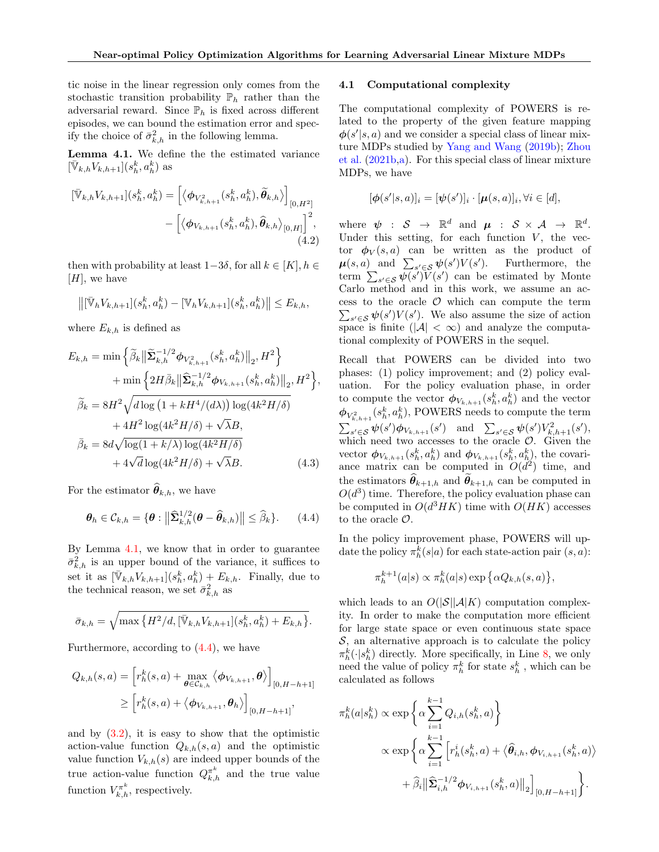tic noise in the linear regression only comes from the stochastic transition probability  $\mathbb{P}_h$  rather than the adversarial reward. Since  $\mathbb{P}_h$  is fixed across different episodes, we can bound the estimation error and specify the choice of  $\bar{\sigma}_{k,h}^2$  in the following lemma.

<span id="page-5-2"></span>Lemma 4.1. We define the the estimated variance  $[\bar{\mathbb{V}}_{k,h}V_{k,h+1}](s_h^k,a_h^k)$  as

$$
[\bar{\mathbb{V}}_{k,h}V_{k,h+1}](s_h^k, a_h^k) = \left[ \langle \boldsymbol{\phi}_{V_{k,h+1}^2}(s_h^k, a_h^k), \tilde{\boldsymbol{\theta}}_{k,h} \rangle \right]_{[0,H^2]} - \left[ \langle \boldsymbol{\phi}_{V_{k,h+1}}(s_h^k, a_h^k), \hat{\boldsymbol{\theta}}_{k,h} \rangle_{[0,H]} \right]^2, \tag{4.2}
$$

then with probability at least  $1-3\delta$ , for all  $k \in [K], h \in$  $[H]$ , we have

$$
\left\|[\bar{\mathbb{V}}_h V_{k,h+1}](s_h^k, a_h^k) - [\mathbb{V}_h V_{k,h+1}](s_h^k, a_h^k)\right\| \le E_{k,h},
$$

where  $E_{k,h}$  is defined as

$$
E_{k,h} = \min \left\{ \widetilde{\beta}_k \left\| \widetilde{\Sigma}_{k,h}^{-1/2} \phi_{V_{k,h+1}^2}(s_h^k, a_h^k) \right\|_2, H^2 \right\}
$$
  
+ 
$$
\min \left\{ 2H \bar{\beta}_k \left\| \widehat{\Sigma}_{k,h}^{-1/2} \phi_{V_{k,h+1}}(s_h^k, a_h^k) \right\|_2, H^2 \right\},
$$
  

$$
\widetilde{\beta}_k = 8H^2 \sqrt{d \log \left( 1 + kH^4/(d\lambda) \right) \log(4k^2H/\delta)}
$$
  
+ 
$$
4H^2 \log(4k^2H/\delta) + \sqrt{\lambda}B,
$$
  

$$
\bar{\beta}_k = 8d\sqrt{\log(1 + k/\lambda) \log(4k^2H/\delta)}
$$
  
+ 
$$
4\sqrt{d \log(4k^2H/\delta)} + \sqrt{\lambda}B.
$$
 (4.3)

For the estimator  $\widehat{\theta}_{k,h}$ , we have

$$
\boldsymbol{\theta}_h \in \mathcal{C}_{k,h} = \{ \boldsymbol{\theta} : \left\| \widehat{\mathbf{\Sigma}}_{k,h}^{1/2} (\boldsymbol{\theta} - \widehat{\boldsymbol{\theta}}_{k,h}) \right\| \leq \widehat{\beta}_k \}. \qquad (4.4)
$$

By Lemma [4.1,](#page-5-2) we know that in order to guarantee  $\bar{\sigma}_{k,h}^2$  is an upper bound of the variance, it suffices to set it as  $[\bar{\mathbb{V}}_{k,h}V_{k,h+1}](s_h^k, a_h^k) + E_{k,h}$ . Finally, due to the technical reason, we set  $\bar{\sigma}_{k,h}^2$  as

$$
\bar{\sigma}_{k,h} = \sqrt{\max \{ H^2/d, [\bar{\mathbb{V}}_{k,h} V_{k,h+1}](s_h^k, a_h^k) + E_{k,h} \} }.
$$

Furthermore, according to [\(4.4\)](#page-5-3), we have

$$
Q_{k,h}(s,a) = \left[ r_h^k(s,a) + \max_{\boldsymbol{\theta} \in C_{k,h}} \left\langle \boldsymbol{\phi}_{V_{k,h+1}}, \boldsymbol{\theta} \right\rangle \right]_{[0,H-h+1]}
$$
  
 
$$
\geq \left[ r_h^k(s,a) + \left\langle \boldsymbol{\phi}_{V_{k,h+1}}, \boldsymbol{\theta}_h \right\rangle \right]_{[0,H-h+1]},
$$

and by  $(3.2)$ , it is easy to show that the optimistic action-value function  $Q_{k,h}(s, a)$  and the optimistic value function  $V_{k,h}(s)$  are indeed upper bounds of the true action-value function  $Q_{k,h}^{\pi^k}$  and the true value function  $V_{k,h}^{\pi^k}$ , respectively.

#### 4.1 Computational complexity

The computational complexity of POWERS is related to the property of the given feature mapping  $\phi(s'|s, a)$  and we consider a special class of linear mixture MDPs studied by [Yang and Wang](#page-10-13) [\(2019b\)](#page-10-13); [Zhou](#page-10-6) [et al.](#page-10-6) [\(2021b](#page-10-6)[,a\)](#page-10-14). For this special class of linear mixture MDPs, we have

$$
[\boldsymbol{\phi}(s'|s,a)]_i = [\boldsymbol{\psi}(s')]_i \cdot [\boldsymbol{\mu}(s,a)]_i, \forall i \in [d],
$$

<span id="page-5-0"></span>where  $\psi$  :  $S \rightarrow \mathbb{R}^d$  and  $\mu$  :  $S \times A \rightarrow \mathbb{R}^d$ . Under this setting, for each function  $V$ , the vector  $\phi_V(s, a)$  can be written as the product of  $\mu(s, a)$  and  $\sum_{s' \in \mathcal{S}} \psi(s') V(s')$ ). Furthermore, the term  $\sum_{s' \in \mathcal{S}} \psi(s') \widetilde{V}(s')$  can be estimated by Monte Carlo method and in this work, we assume an access to the oracle  $\mathcal O$  which can compute the term  $\sum_{s' \in \mathcal{S}} \psi(s') V(s')$ . We also assume the size of action space is finite ( $|\mathcal{A}| < \infty$ ) and analyze the computational complexity of POWERS in the sequel.

Recall that POWERS can be divided into two phases: (1) policy improvement; and (2) policy evaluation. For the policy evaluation phase, in order to compute the vector  $\phi_{V_{k,h+1}}(s_h^k, a_h^k)$  and the vector  $\phi_{V_{k,h+1}^2}(s_h^k, a_h^k)$ , POWERS needs to compute the term  $\sum_{s' \in S} \psi(s') \phi_{V_{k,h+1}}(s')$  and  $\sum_{s' \in S} \psi(s') V_{k,h+1}^2(s')$ , which need two accesses to the oracle  $\mathcal{O}$ . Given the vector  $\phi_{V_{k,h+1}}(s_h^k, a_h^k)$  and  $\phi_{V_{k,h+1}}(s_h^k, a_h^k)$ , the covariance matrix can be computed in  $O(d^2)$  time, and the estimators  $\hat{\theta}_{k+1,h}$  and  $\hat{\theta}_{k+1,h}$  can be computed in  $O(d^3)$  time. Therefore, the policy evaluation phase can be computed in  $O(d^3HK)$  time with  $O(HK)$  accesses to the oracle  $\mathcal{O}$ .

<span id="page-5-3"></span><span id="page-5-1"></span>In the policy improvement phase, POWERS will update the policy  $\pi_h^k(s|a)$  for each state-action pair  $(s, a)$ :

$$
\pi_h^{k+1}(a|s) \propto \pi_h^k(a|s) \exp\left\{\alpha Q_{k,h}(s,a)\right\},\,
$$

which leads to an  $O(|\mathcal{S}||\mathcal{A}|K)$  computation complexity. In order to make the computation more efficient for large state space or even continuous state space  $S$ , an alternative approach is to calculate the policy  $\pi_h^k(\cdot|s_h^k)$  directly. More specifically, in Line [8,](#page-4-8) we only need the value of policy  $\pi_h^k$  for state  $s_h^k$ , which can be calculated as follows

$$
\pi_h^k(a|s_h^k) \propto \exp\left\{\alpha \sum_{i=1}^{k-1} Q_{i,h}(s_h^k, a)\right\}
$$
  
 
$$
\propto \exp\left\{\alpha \sum_{i=1}^{k-1} \left[r_h^i(s_h^k, a) + \langle \hat{\theta}_{i,h}, \phi_{V_{i,h+1}}(s_h^k, a)\rangle\right.+ \hat{\beta}_i \|\hat{\Sigma}_{i,h}^{-1/2}\phi_{V_{i,h+1}}(s_h^k, a)\|_2\right]_{[0, H-h+1]}\right\}.
$$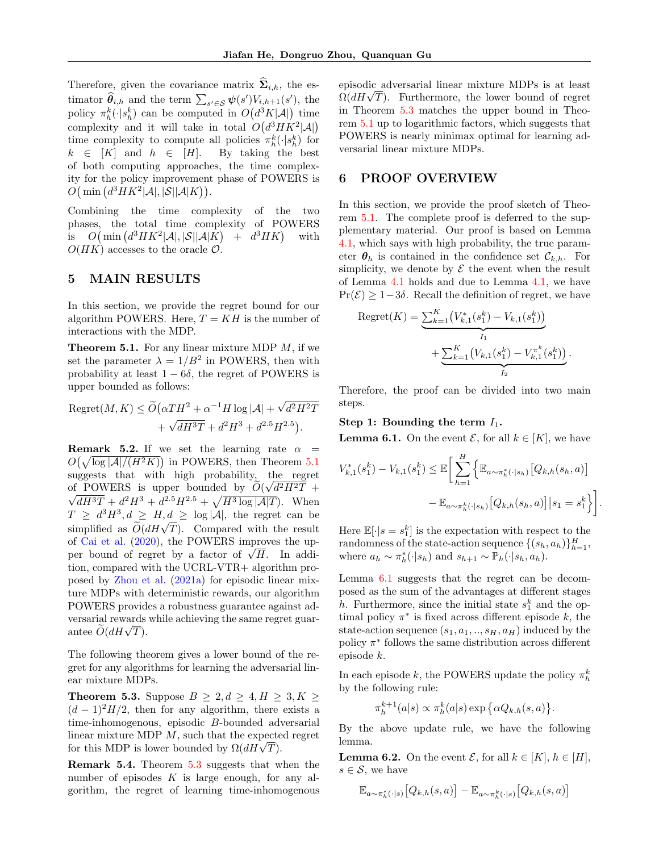Therefore, given the covariance matrix  $\hat{\Sigma}_{i,h}$ , the estimator  $\widehat{\theta}_{i,h}$  and the term  $\sum_{s' \in \mathcal{S}} \psi(s') V_{i,h+1}(s')$ , the policy  $\pi_h^k(\cdot | s_h^k)$  can be computed in  $O(d^3K|\mathcal{A}|)$  time complexity and it will take in total  $O(d^3HK^2|\mathcal{A}|)$ time complexity to compute all policies  $\pi_h^k(\cdot|s_h^k)$  for  $k \in [K]$  and  $h \in [H]$ . By taking the best of both computing approaches, the time complexity for the policy improvement phase of POWERS is  $O(min (d^3HK^2|\mathcal{A}|, |\mathcal{S}||\mathcal{A}|K)).$ 

Combining the time complexity of the two phases, the total time complexity of POWERS is  $O(min (d^3HK^2|\mathcal{A}|, |\mathcal{S}||\mathcal{A}|K) + d^3HK)$ with  $O(HK)$  accesses to the oracle  $\mathcal{O}$ .

# 5 MAIN RESULTS

In this section, we provide the regret bound for our algorithm POWERS. Here,  $T = KH$  is the number of interactions with the MDP.

<span id="page-6-0"></span>**Theorem 5.1.** For any linear mixture MDP  $M$ , if we set the parameter  $\lambda = 1/B^2$  in POWERS, then with probability at least  $1 - 6\delta$ , the regret of POWERS is upper bounded as follows:

$$
Regret(M, K) \le \widetilde{O}(\alpha T H^2 + \alpha^{-1} H \log |\mathcal{A}| + \sqrt{d^2 H^2 T}
$$

$$
+ \sqrt{dH^3T} + d^2 H^3 + d^{2.5} H^{2.5}).
$$

**Remark 5.2.** If we set the learning rate  $\alpha$  =  $O(\sqrt{\log |A|/(H^2 K)})$  in POWERS, then Theorem [5.1](#page-6-0) suggests that with high probability, the regret of POWERS is upper bounded by  $O(\sqrt{d^2H^2T} +$  $\overline{dH^{3}T} + d^{2}H^{3} + d^{2.5}H^{2.5} + \sqrt{H^{3}\log|A|T}$ . When  $T \geq d^3H^3, d \geq H, d \geq \log |\mathcal{A}|$ , the regret can be  $\widetilde{O}(dH\sqrt{T})$ . Compared with the result<br>simplified as  $\widetilde{O}(dH\sqrt{T})$ . Compared with the result of [Cai et al.](#page-9-6) [\(2020\)](#page-9-6), the POWERS improves the upor Cal et al. (2020), the POWERS improves the up-<br>per bound of regret by a factor of  $\sqrt{H}$ . In addition, compared with the UCRL-VTR+ algorithm proposed by [Zhou et al.](#page-10-14) [\(2021a\)](#page-10-14) for episodic linear mixture MDPs with deterministic rewards, our algorithm POWERS provides a robustness guarantee against adversarial rewards while achieving the same regret guarversarial rewards<br>antee  $\widetilde{O}(dH\sqrt{T}).$ 

The following theorem gives a lower bound of the regret for any algorithms for learning the adversarial linear mixture MDPs.

<span id="page-6-1"></span>**Theorem 5.3.** Suppose  $B \geq 2, d \geq 4, H \geq 3, K \geq 1$  $(d-1)^2H/2$ , then for any algorithm, there exists a time-inhomogenous, episodic B-bounded adversarial linear mixture MDP M, such that the expected regret for this MDP is lower bounded by  $\Omega(dH\sqrt{T})$ .

Remark 5.4. Theorem [5.3](#page-6-1) suggests that when the number of episodes  $K$  is large enough, for any algorithm, the regret of learning time-inhomogenous episodic adversarial linear mixture MDPs is at least episodic adversarial linear mixture MDP's is at least  $\Omega(dH\sqrt{T})$ . Furthermore, the lower bound of regret in Theorem [5.3](#page-6-1) matches the upper bound in Theorem [5.1](#page-6-0) up to logarithmic factors, which suggests that POWERS is nearly minimax optimal for learning adversarial linear mixture MDPs.

## <span id="page-6-4"></span>6 PROOF OVERVIEW

In this section, we provide the proof sketch of Theorem [5.1.](#page-6-0) The complete proof is deferred to the supplementary material. Our proof is based on Lemma [4.1,](#page-5-2) which says with high probability, the true parameter  $\theta_h$  is contained in the confidence set  $\mathcal{C}_{k,h}$ . For simplicity, we denote by  $\mathcal E$  the event when the result of Lemma [4.1](#page-5-2) holds and due to Lemma [4.1,](#page-5-2) we have  $Pr(\mathcal{E}) \geq 1-3\delta$ . Recall the definition of regret, we have

Regret(K) = 
$$
\underbrace{\sum_{k=1}^{K} (V_{k,1}^{*}(s_1^k) - V_{k,1}(s_1^k))}_{I_1} + \underbrace{\sum_{k=1}^{K} (V_{k,1}(s_1^k) - V_{k,1}^{\pi^k}(s_1^k))}_{I_2}.
$$

Therefore, the proof can be divided into two main steps.

Step 1: Bounding the term  $I_1$ .

<span id="page-6-2"></span>**Lemma 6.1.** On the event  $\mathcal{E}$ , for all  $k \in [K]$ , we have

$$
V_{k,1}^*(s_1^k) - V_{k,1}(s_1^k) \le \mathbb{E}\bigg[\sum_{h=1}^H \Big\{\mathbb{E}_{a \sim \pi_h^*(\cdot|s_h)}\big[Q_{k,h}(s_h, a)\big] - \mathbb{E}_{a \sim \pi_h^k(\cdot|s_h)}\big[Q_{k,h}(s_h, a)\big]|s_1 = s_1^k\bigg\}\bigg]
$$

.

Here  $\mathbb{E}[\cdot|s=s_1^k]$  is the expectation with respect to the randomness of the state-action sequence  $\{(s_h, a_h)\}_{h=1}^H$ , where  $a_h \sim \pi_h^*(\cdot | s_h)$  and  $s_{h+1} \sim \mathbb{P}_h(\cdot | s_h, a_h)$ .

Lemma [6.1](#page-6-2) suggests that the regret can be decomposed as the sum of the advantages at different stages h. Furthermore, since the initial state  $s_1^k$  and the optimal policy  $\pi^*$  is fixed across different episode k, the state-action sequence  $(s_1, a_1, ..., s_H, a_H)$  induced by the policy  $\pi^*$  follows the same distribution across different episode k.

In each episode  $k$ , the POWERS update the policy  $\pi_h^k$ by the following rule:

$$
\pi_h^{k+1}(a|s) \propto \pi_h^k(a|s) \exp \{\alpha Q_{k,h}(s,a)\}.
$$

By the above update rule, we have the following lemma.

<span id="page-6-3"></span>**Lemma 6.2.** On the event  $\mathcal{E}$ , for all  $k \in [K], h \in [H]$ ,  $s \in \mathcal{S}$ , we have

$$
\mathbb{E}_{a \sim \pi^*_h(\cdot|s)}\!\left[Q_{k,h}(s,a)\right]-\mathbb{E}_{a \sim \pi^k_h(\cdot|s)}\!\left[Q_{k,h}(s,a)\right]
$$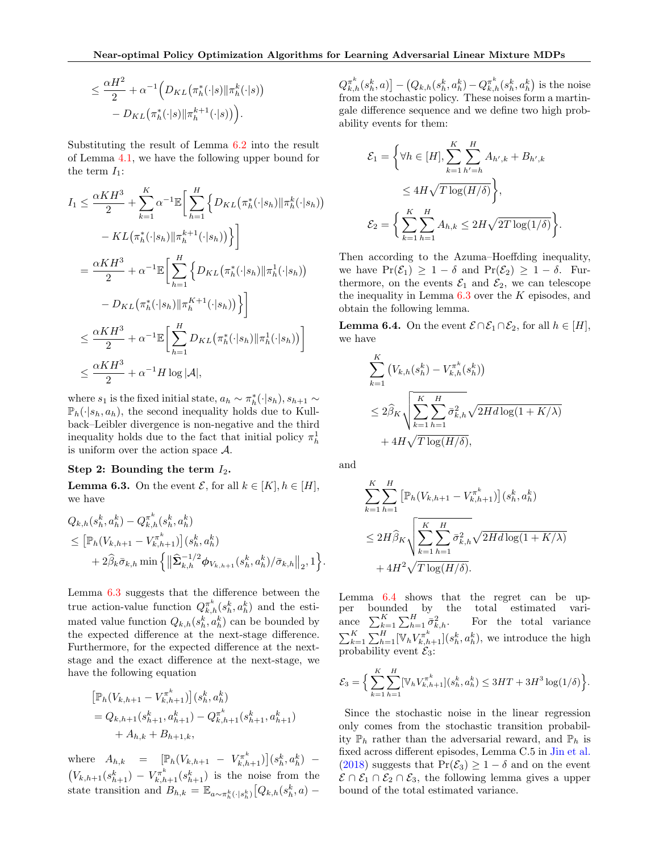$$
\leq \frac{\alpha H^2}{2} + \alpha^{-1} \Big( D_{KL} \big( \pi_h^*(\cdot | s) \| \pi_h^k(\cdot | s) \big) - D_{KL} \big( \pi_h^*(\cdot | s) \| \pi_h^{k+1}(\cdot | s) \big) \Big).
$$

Substituting the result of Lemma [6.2](#page-6-3) into the result of Lemma [4.1,](#page-5-2) we have the following upper bound for the term  $I_1$ :

$$
I_{1} \leq \frac{\alpha KH^{3}}{2} + \sum_{k=1}^{K} \alpha^{-1} \mathbb{E} \bigg[ \sum_{h=1}^{H} \Big\{ D_{KL}(\pi_{h}^{*}(\cdot|s_{h}) || \pi_{h}^{k}(\cdot|s_{h})) - KL(\pi_{h}^{*}(\cdot|s_{h}) || \pi_{h}^{k+1}(\cdot|s_{h})) \Big\} \bigg]
$$
  

$$
= \frac{\alpha KH^{3}}{2} + \alpha^{-1} \mathbb{E} \bigg[ \sum_{h=1}^{H} \Big\{ D_{KL}(\pi_{h}^{*}(\cdot|s_{h}) || \pi_{h}^{1}(\cdot|s_{h})) - D_{KL}(\pi_{h}^{*}(\cdot|s_{h}) || \pi_{h}^{K+1}(\cdot|s_{h})) \Big\} \bigg]
$$
  

$$
\leq \frac{\alpha KH^{3}}{2} + \alpha^{-1} \mathbb{E} \bigg[ \sum_{h=1}^{H} D_{KL}(\pi_{h}^{*}(\cdot|s_{h}) || \pi_{h}^{1}(\cdot|s_{h})) \bigg]
$$
  

$$
\leq \frac{\alpha KH^{3}}{2} + \alpha^{-1} H \log |\mathcal{A}|,
$$

where  $s_1$  is the fixed initial state,  $a_h \sim \pi_h^*(\cdot | s_h)$ ,  $s_{h+1} \sim$  $\mathbb{P}_h(\cdot|s_h, a_h)$ , the second inequality holds due to Kullback–Leibler divergence is non-negative and the third inequality holds due to the fact that initial policy  $\pi_h^1$ is uniform over the action space A.

#### Step 2: Bounding the term  $I_2$ .

<span id="page-7-0"></span>**Lemma 6.3.** On the event  $\mathcal{E}$ , for all  $k \in [K], h \in [H]$ , we have

$$
Q_{k,h}(s_h^k, a_h^k) - Q_{k,h}^{\pi^k}(s_h^k, a_h^k)
$$
  
\n
$$
\leq [\mathbb{P}_h(V_{k,h+1} - V_{k,h+1}^{\pi^k})](s_h^k, a_h^k)
$$
  
\n
$$
+ 2\widehat{\beta}_k \overline{\sigma}_{k,h} \min \left\{ \left\| \widehat{\Sigma}_{k,h}^{-1/2} \phi_{V_{k,h+1}}(s_h^k, a_h^k) / \overline{\sigma}_{k,h} \right\|_2, 1 \right\}.
$$

Lemma [6.3](#page-7-0) suggests that the difference between the true action-value function  $Q_{k,h}^{\pi^k}(s_h^k, a_h^k)$  and the estimated value function  $Q_{k,h}(s_h^k, a_h^k)$  can be bounded by the expected difference at the next-stage difference. Furthermore, for the expected difference at the nextstage and the exact difference at the next-stage, we have the following equation

$$
\begin{aligned} \left[ \mathbb{P}_h(V_{k,h+1} - V_{k,h+1}^{\pi^k}) \right] & (s_h^k, a_h^k) \\ &= Q_{k,h+1}(s_{h+1}^k, a_{h+1}^k) - Q_{k,h+1}^{\pi^k}(s_{h+1}^k, a_{h+1}^k) \\ &+ A_{h,k} + B_{h+1,k}, \end{aligned}
$$

where  $A_{h,k} = [\mathbb{P}_h(V_{k,h+1} - V_{k,h+1}^{\pi^k})](s_h^k, a_h^k) (V_{k,h+1}(s_{h+1}^k) - V_{k,h+1}^{\pi^k}(s_{h+1}^k)$  is the noise from the state transition and  $B_{h,k} = \mathbb{E}_{a \sim \pi_h^k(\cdot | s_h^k)} [Q_{k,h}(s_h^k, a) -$ 

 $Q_{k,h}^{\pi^k}(s_h^k, a) - (Q_{k,h}(s_h^k, a_h^k) - Q_{k,h}^{\pi^k}(s_h^k, a_h^k)$  is the noise from the stochastic policy. These noises form a martingale difference sequence and we define two high probability events for them:

$$
\mathcal{E}_1 = \left\{ \forall h \in [H], \sum_{k=1}^{K} \sum_{h'=h}^{H} A_{h',k} + B_{h',k} \le 4H\sqrt{T \log(H/\delta)} \right\},
$$
  

$$
\mathcal{E}_2 = \left\{ \sum_{k=1}^{K} \sum_{h=1}^{H} A_{h,k} \le 2H\sqrt{2T \log(1/\delta)} \right\}
$$

.

Then according to the Azuma–Hoeffding inequality, we have  $Pr(\mathcal{E}_1) \geq 1 - \delta$  and  $Pr(\mathcal{E}_2) \geq 1 - \delta$ . Furthermore, on the events  $\mathcal{E}_1$  and  $\mathcal{E}_2$ , we can telescope the inequality in Lemma  $6.3$  over the  $K$  episodes, and obtain the following lemma.

<span id="page-7-1"></span>**Lemma 6.4.** On the event  $\mathcal{E} \cap \mathcal{E}_1 \cap \mathcal{E}_2$ , for all  $h \in [H]$ , we have

$$
\sum_{k=1}^{K} \left( V_{k,h}(s_h^k) - V_{k,h}^{\pi^k}(s_h^k) \right)
$$
\n
$$
\leq 2\widehat{\beta}_K \sqrt{\sum_{k=1}^{K} \sum_{h=1}^{H} \bar{\sigma}_{k,h}^2 \sqrt{2Hd\log(1 + K/\lambda)}}
$$
\n
$$
+ 4H\sqrt{T\log(H/\delta)},
$$

and

$$
\sum_{k=1}^{K} \sum_{h=1}^{H} \left[ \mathbb{P}_h(V_{k,h+1} - V_{k,h+1}^{\pi^k}) \right] (s_h^k, a_h^k)
$$
  
\n
$$
\leq 2H \widehat{\beta}_K \sqrt{\sum_{k=1}^{K} \sum_{h=1}^{H} \bar{\sigma}_{k,h}^2 \sqrt{2H d \log(1 + K/\lambda)}}
$$
  
\n
$$
+ 4H^2 \sqrt{T \log(H/\delta)}.
$$

Lemma [6.4](#page-7-1) shows that the regret can be upper bounded by the total estimated variance  $\sum_{k=1}^{K} \sum_{h=1}^{H} \bar{\sigma}_{k,h}^2$ . For the total variance  $\sum_{k=1}^K \sum_{h=1}^H [\mathbb{V}_h V_{k,h+1}^{\pi^k}] (s_h^k, a_h^k)$ , we introduce the high probability event  $\mathcal{E}_3$ :

$$
\mathcal{E}_3 = \Big\{ \sum_{k=1}^K \sum_{h=1}^H [\mathbb{V}_h V_{k,h+1}^{\pi^k}](s_h^k, a_h^k) \leq 3HT + 3H^3 \log(1/\delta) \Big\}.
$$

Since the stochastic noise in the linear regression only comes from the stochastic transition probability  $\mathbb{P}_h$  rather than the adversarial reward, and  $\mathbb{P}_h$  is fixed across different episodes, Lemma C.5 in [Jin et al.](#page-9-27) [\(2018\)](#page-9-27) suggests that  $Pr(\mathcal{E}_3) \geq 1 - \delta$  and on the event  $\mathcal{E} \cap \mathcal{E}_1 \cap \mathcal{E}_2 \cap \mathcal{E}_3$ , the following lemma gives a upper bound of the total estimated variance.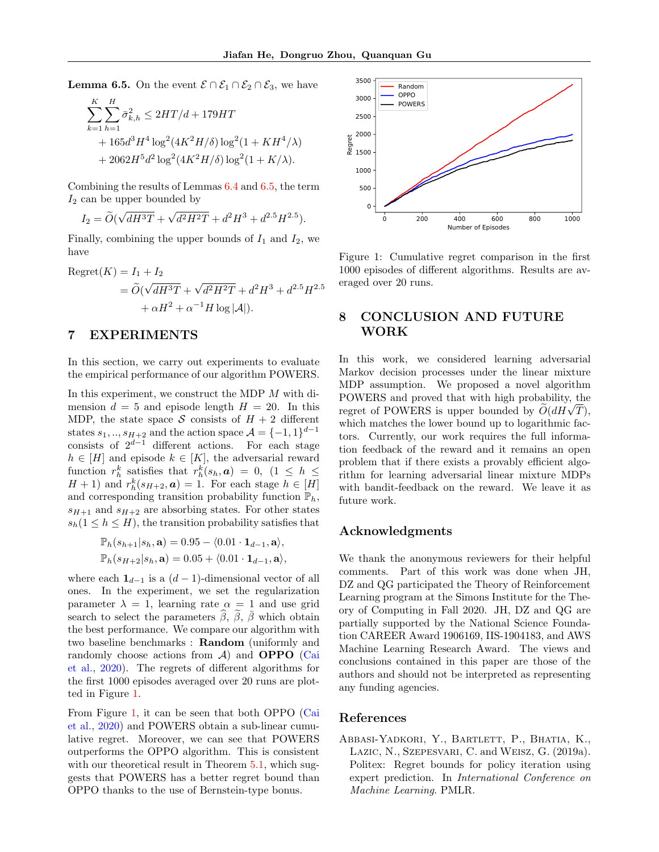<span id="page-8-1"></span>**Lemma 6.5.** On the event  $\mathcal{E} \cap \mathcal{E}_1 \cap \mathcal{E}_2 \cap \mathcal{E}_3$ , we have

$$
\sum_{k=1}^{K} \sum_{h=1}^{H} \bar{\sigma}_{k,h}^{2} \le 2HT/d + 179HT + 165d^{3}H^{4} \log^{2}(4K^{2}H/\delta) \log^{2}(1+KH^{4}/\lambda) + 2062H^{5}d^{2} \log^{2}(4K^{2}H/\delta) \log^{2}(1+K/\lambda).
$$

Combining the results of Lemmas [6.4](#page-7-1) and [6.5,](#page-8-1) the term  $I_2$  can be upper bounded by

$$
I_2 = \widetilde{O}(\sqrt{dH^3T} + \sqrt{d^2H^2T} + d^2H^3 + d^{2.5}H^{2.5}).
$$

Finally, combining the upper bounds of  $I_1$  and  $I_2$ , we have

Regret(K) = I<sub>1</sub> + I<sub>2</sub>  
= 
$$
\widetilde{O}(\sqrt{dH^3T} + \sqrt{d^2H^2T} + d^2H^3 + d^{2.5}H^{2.5} + \alpha H^2 + \alpha^{-1}H \log |\mathcal{A}|).
$$

## 7 EXPERIMENTS

In this section, we carry out experiments to evaluate the empirical performance of our algorithm POWERS.

In this experiment, we construct the MDP M with dimension  $d = 5$  and episode length  $H = 20$ . In this MDP, the state space S consists of  $H + 2$  different states  $s_1, ..., s_{H+2}$  and the action space  $\mathcal{A} = \{-1, 1\}^{d-1}$ consists of  $2^{d-1}$  different actions. For each stage  $h \in [H]$  and episode  $k \in [K]$ , the adversarial reward function  $r_h^k$  satisfies that  $r_h^k(s_h, a) = 0$ ,  $(1 \leq h \leq$  $H + 1$ ) and  $r_h^k(s_{H+2}, \mathbf{a}) = 1$ . For each stage  $h \in [H]$ and corresponding transition probability function  $\mathbb{P}_h$ ,  $s_{H+1}$  and  $s_{H+2}$  are absorbing states. For other states  $s_h(1 \leq h \leq H)$ , the transition probability satisfies that

$$
\mathbb{P}_h(s_{h+1}|s_h, \mathbf{a}) = 0.95 - \langle 0.01 \cdot \mathbf{1}_{d-1}, \mathbf{a} \rangle,
$$
  

$$
\mathbb{P}_h(s_{H+2}|s_h, \mathbf{a}) = 0.05 + \langle 0.01 \cdot \mathbf{1}_{d-1}, \mathbf{a} \rangle,
$$

where each  $\mathbf{1}_{d-1}$  is a  $(d-1)$ -dimensional vector of all ones. In the experiment, we set the regularization parameter  $\lambda = 1$ , learning rate  $\alpha = 1$  and use grid search to select the parameters  $\hat{\beta}$ ,  $\hat{\beta}$ ,  $\bar{\beta}$  which obtain the best performance. We compare our algorithm with two baseline benchmarks : Random (uniformly and randomly choose actions from  $A$ ) and **OPPO** [\(Cai](#page-9-6) [et al.,](#page-9-6) [2020\)](#page-9-6). The regrets of different algorithms for the first 1000 episodes averaged over 20 runs are plotted in Figure [1.](#page-8-2)

From Figure [1,](#page-8-2) it can be seen that both OPPO [\(Cai](#page-9-6) [et al.,](#page-9-6) [2020\)](#page-9-6) and POWERS obtain a sub-linear cumulative regret. Moreover, we can see that POWERS outperforms the OPPO algorithm. This is consistent with our theoretical result in Theorem [5.1,](#page-6-0) which suggests that POWERS has a better regret bound than OPPO thanks to the use of Bernstein-type bonus.



<span id="page-8-2"></span>Figure 1: Cumulative regret comparison in the first 1000 episodes of different algorithms. Results are averaged over 20 runs.

# 8 CONCLUSION AND FUTURE WORK

In this work, we considered learning adversarial Markov decision processes under the linear mixture MDP assumption. We proposed a novel algorithm POWERS and proved that with high probability, the POWERS and proved that with high probability, the regret of POWERS is upper bounded by  $\widetilde{O}(dH\sqrt{T}),$ which matches the lower bound up to logarithmic factors. Currently, our work requires the full information feedback of the reward and it remains an open problem that if there exists a provably efficient algorithm for learning adversarial linear mixture MDPs with bandit-feedback on the reward. We leave it as future work.

## Acknowledgments

We thank the anonymous reviewers for their helpful comments. Part of this work was done when JH, DZ and QG participated the Theory of Reinforcement Learning program at the Simons Institute for the Theory of Computing in Fall 2020. JH, DZ and QG are partially supported by the National Science Foundation CAREER Award 1906169, IIS-1904183, and AWS Machine Learning Research Award. The views and conclusions contained in this paper are those of the authors and should not be interpreted as representing any funding agencies.

#### References

<span id="page-8-0"></span>Abbasi-Yadkori, Y., Bartlett, P., Bhatia, K., Lazic, N., Szepesvari, C. and Weisz, G. (2019a). Politex: Regret bounds for policy iteration using expert prediction. In International Conference on Machine Learning. PMLR.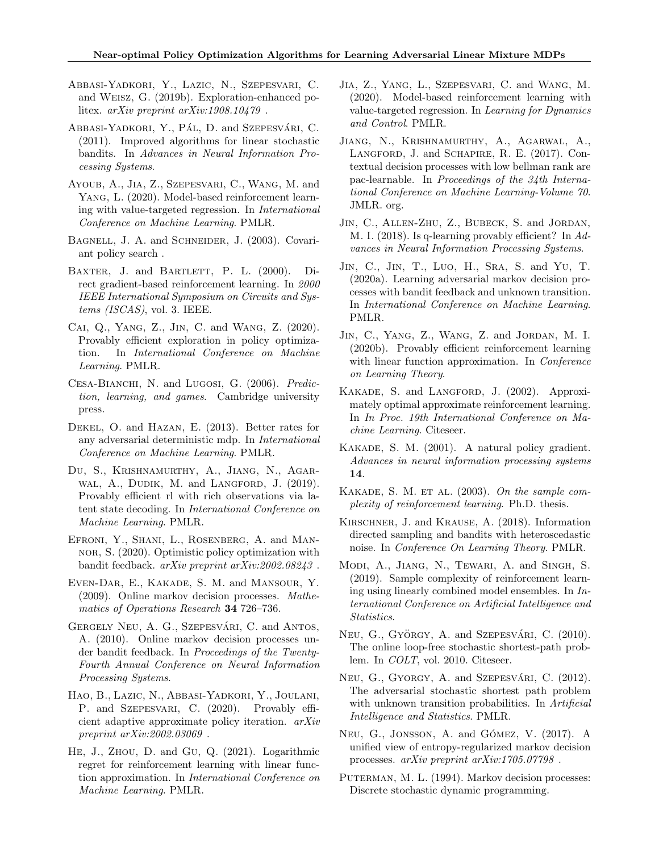- <span id="page-9-22"></span>Abbasi-Yadkori, Y., Lazic, N., Szepesvari, C. and Weisz, G. (2019b). Exploration-enhanced politex. arXiv preprint arXiv:1908.10479 .
- <span id="page-9-9"></span>ABBASI-YADKORI, Y., PÁL, D. and SzEPESVÁRI, C. (2011). Improved algorithms for linear stochastic bandits. In Advances in Neural Information Processing Systems.
- <span id="page-9-8"></span>Ayoub, A., Jia, Z., Szepesvari, C., Wang, M. and Yang, L. (2020). Model-based reinforcement learning with value-targeted regression. In International Conference on Machine Learning. PMLR.
- <span id="page-9-21"></span>BAGNELL, J. A. and SCHNEIDER, J. (2003). Covariant policy search .
- <span id="page-9-17"></span>BAXTER, J. and BARTLETT, P. L. (2000). Direct gradient-based reinforcement learning. In 2000 IEEE International Symposium on Circuits and Systems (ISCAS), vol. 3. IEEE.
- <span id="page-9-6"></span>Cai, Q., Yang, Z., Jin, C. and Wang, Z. (2020). Provably efficient exploration in policy optimization. In International Conference on Machine Learning. PMLR.
- <span id="page-9-25"></span>CESA-BIANCHI, N. and LUGOSI, G. (2006). Prediction, learning, and games. Cambridge university press.
- <span id="page-9-4"></span>Dekel, O. and Hazan, E. (2013). Better rates for any adversarial deterministic mdp. In International Conference on Machine Learning. PMLR.
- <span id="page-9-12"></span>Du, S., Krishnamurthy, A., Jiang, N., Agar-WAL, A., DUDIK, M. and LANGFORD, J. (2019). Provably efficient rl with rich observations via latent state decoding. In International Conference on Machine Learning. PMLR.
- <span id="page-9-5"></span>EFRONI, Y., SHANI, L., ROSENBERG, A. and MANnor, S. (2020). Optimistic policy optimization with bandit feedback. arXiv preprint arXiv:2002.08243 .
- <span id="page-9-1"></span>Even-Dar, E., Kakade, S. M. and Mansour, Y. (2009). Online markov decision processes. Mathematics of Operations Research 34 726–736.
- <span id="page-9-10"></span>GERGELY NEU, A. G., SZEPESVÁRI, C. and ANTOS, A. (2010). Online markov decision processes under bandit feedback. In Proceedings of the Twenty-Fourth Annual Conference on Neural Information Processing Systems.
- <span id="page-9-23"></span>Hao, B., Lazic, N., Abbasi-Yadkori, Y., Joulani, P. and SZEPESVARI, C. (2020). Provably efficient adaptive approximate policy iteration. arXiv preprint arXiv:2002.03069 .
- <span id="page-9-14"></span>He, J., Zhou, D. and Gu, Q. (2021). Logarithmic regret for reinforcement learning with linear function approximation. In International Conference on Machine Learning. PMLR.
- <span id="page-9-7"></span>Jia, Z., Yang, L., Szepesvari, C. and Wang, M. (2020). Model-based reinforcement learning with value-targeted regression. In Learning for Dynamics and Control. PMLR.
- <span id="page-9-13"></span>Jiang, N., Krishnamurthy, A., Agarwal, A., Langford, J. and Schapire, R. E. (2017). Contextual decision processes with low bellman rank are pac-learnable. In Proceedings of the 34th International Conference on Machine Learning-Volume 70. JMLR. org.
- <span id="page-9-27"></span>Jin, C., Allen-Zhu, Z., Bubeck, S. and Jordan, M. I. (2018). Is q-learning provably efficient? In Advances in Neural Information Processing Systems.
- <span id="page-9-11"></span>Jin, C., Jin, T., Luo, H., Sra, S. and Yu, T. (2020a). Learning adversarial markov decision processes with bandit feedback and unknown transition. In International Conference on Machine Learning. PMLR.
- <span id="page-9-15"></span>JIN, C., YANG, Z., WANG, Z. and JORDAN, M. I. (2020b). Provably efficient reinforcement learning with linear function approximation. In *Conference* on Learning Theory.
- <span id="page-9-19"></span>Kakade, S. and Langford, J. (2002). Approximately optimal approximate reinforcement learning. In In Proc. 19th International Conference on Machine Learning. Citeseer.
- <span id="page-9-18"></span>Kakade, S. M. (2001). A natural policy gradient. Advances in neural information processing systems 14.
- <span id="page-9-20"></span>KAKADE, S. M. ET AL.  $(2003)$ . On the sample complexity of reinforcement learning. Ph.D. thesis.
- <span id="page-9-26"></span>Kirschner, J. and Krause, A. (2018). Information directed sampling and bandits with heteroscedastic noise. In Conference On Learning Theory. PMLR.
- <span id="page-9-16"></span>Modi, A., Jiang, N., Tewari, A. and Singh, S. (2019). Sample complexity of reinforcement learning using linearly combined model ensembles. In International Conference on Artificial Intelligence and Statistics.
- <span id="page-9-2"></span>NEU, G., GYÖRGY, A. and SZEPESVÁRI, C. (2010). The online loop-free stochastic shortest-path problem. In *COLT*, vol. 2010. Citeseer.
- <span id="page-9-3"></span>NEU, G., GYORGY, A. and SZEPESVÁRI, C.  $(2012)$ . The adversarial stochastic shortest path problem with unknown transition probabilities. In Artificial Intelligence and Statistics. PMLR.
- <span id="page-9-24"></span>NEU, G., JONSSON, A. and GÓMEZ, V. (2017). A unified view of entropy-regularized markov decision processes. arXiv preprint arXiv:1705.07798 .
- <span id="page-9-0"></span>PUTERMAN, M. L. (1994). Markov decision processes: Discrete stochastic dynamic programming.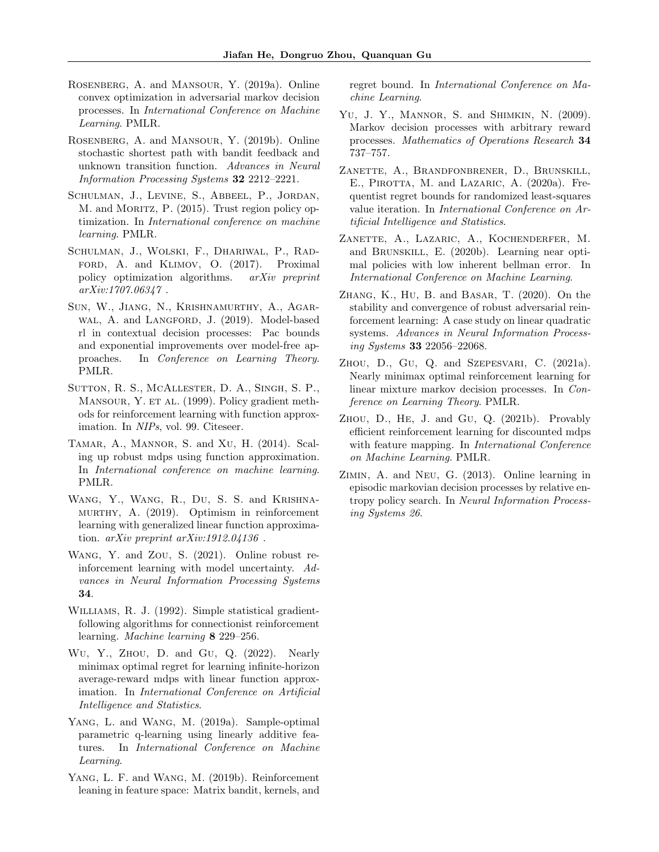- <span id="page-10-2"></span>Rosenberg, A. and Mansour, Y. (2019a). Online convex optimization in adversarial markov decision processes. In International Conference on Machine Learning. PMLR.
- <span id="page-10-7"></span>Rosenberg, A. and Mansour, Y. (2019b). Online stochastic shortest path with bandit feedback and unknown transition function. Advances in Neural Information Processing Systems 32 2212–2221.
- <span id="page-10-18"></span>SCHULMAN, J., LEVINE, S., ABBEEL, P., JORDAN, M. and MORITZ, P. (2015). Trust region policy optimization. In International conference on machine learning. PMLR.
- <span id="page-10-19"></span>Schulman, J., Wolski, F., Dhariwal, P., Rad-FORD, A. and KLIMOV, O. (2017). Proximal policy optimization algorithms. arXiv preprint arXiv:1707.06347 .
- <span id="page-10-9"></span>Sun, W., Jiang, N., Krishnamurthy, A., Agar-WAL, A. and LANGFORD, J. (2019). Model-based rl in contextual decision processes: Pac bounds and exponential improvements over model-free approaches. In Conference on Learning Theory. PMLR.
- <span id="page-10-17"></span>Sutton, R. S., McAllester, D. A., Singh, S. P., MANSOUR, Y. ET AL. (1999). Policy gradient methods for reinforcement learning with function approximation. In NIPs, vol. 99. Citeseer.
- <span id="page-10-3"></span>Tamar, A., Mannor, S. and Xu, H. (2014). Scaling up robust mdps using function approximation. In International conference on machine learning. PMLR.
- <span id="page-10-8"></span>Wang, Y., Wang, R., Du, S. S. and Krishnamurthy, A. (2019). Optimism in reinforcement learning with generalized linear function approximation.  $arXiv$  preprint  $arXiv:1912.04136$ .
- <span id="page-10-5"></span>Wang, Y. and Zou, S. (2021). Online robust reinforcement learning with model uncertainty. Advances in Neural Information Processing Systems 34.
- <span id="page-10-16"></span>Williams, R. J. (1992). Simple statistical gradientfollowing algorithms for connectionist reinforcement learning. Machine learning 8 229–256.
- <span id="page-10-15"></span>Wu, Y., Zhou, D. and Gu, Q. (2022). Nearly minimax optimal regret for learning infinite-horizon average-reward mdps with linear function approximation. In International Conference on Artificial Intelligence and Statistics.
- <span id="page-10-11"></span>YANG, L. and WANG, M. (2019a). Sample-optimal parametric q-learning using linearly additive features. In International Conference on Machine Learning.
- <span id="page-10-13"></span>YANG, L. F. and WANG, M. (2019b). Reinforcement leaning in feature space: Matrix bandit, kernels, and

regret bound. In International Conference on Machine Learning.

- <span id="page-10-0"></span>YU, J. Y., MANNOR, S. and SHIMKIN, N. (2009). Markov decision processes with arbitrary reward processes. Mathematics of Operations Research 34 737–757.
- <span id="page-10-10"></span>Zanette, A., Brandfonbrener, D., Brunskill, E., PIROTTA, M. and LAZARIC, A. (2020a). Frequentist regret bounds for randomized least-squares value iteration. In International Conference on Artificial Intelligence and Statistics.
- <span id="page-10-12"></span>Zanette, A., Lazaric, A., Kochenderfer, M. and Brunskill, E. (2020b). Learning near optimal policies with low inherent bellman error. In International Conference on Machine Learning.
- <span id="page-10-4"></span>Zhang, K., Hu, B. and Basar, T. (2020). On the stability and convergence of robust adversarial reinforcement learning: A case study on linear quadratic systems. Advances in Neural Information Processing Systems 33 22056–22068.
- <span id="page-10-14"></span>Zhou, D., Gu, Q. and Szepesvari, C. (2021a). Nearly minimax optimal reinforcement learning for linear mixture markov decision processes. In Conference on Learning Theory. PMLR.
- <span id="page-10-6"></span>Zhou, D., He, J. and Gu, Q. (2021b). Provably efficient reinforcement learning for discounted mdps with feature mapping. In *International Conference* on Machine Learning. PMLR.
- <span id="page-10-1"></span>Zimin, A. and Neu, G. (2013). Online learning in episodic markovian decision processes by relative entropy policy search. In Neural Information Processing Systems 26.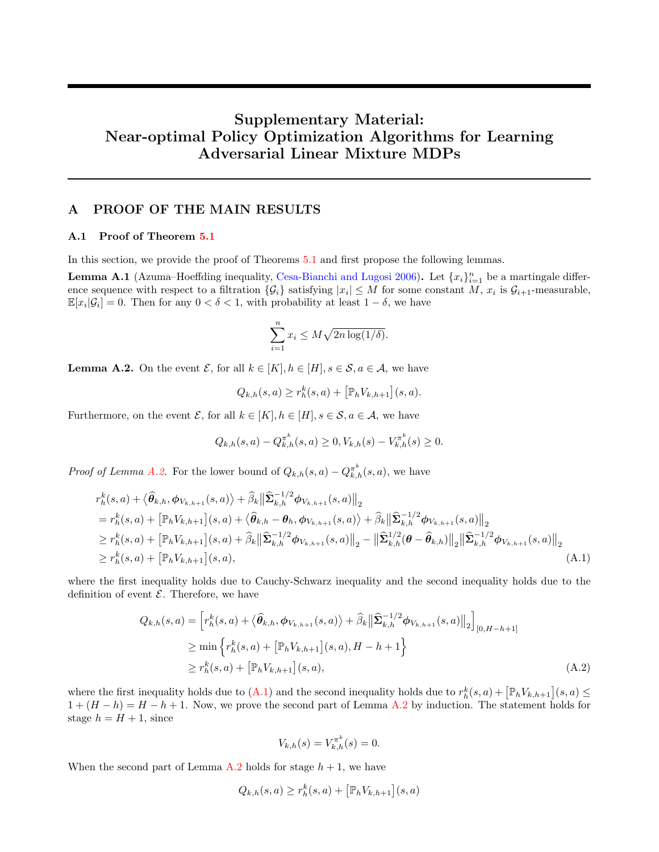# Supplementary Material: Near-optimal Policy Optimization Algorithms for Learning Adversarial Linear Mixture MDPs

# A PROOF OF THE MAIN RESULTS

## A.1 Proof of Theorem [5.1](#page-6-0)

In this section, we provide the proof of Theorems [5.1](#page-6-0) and first propose the following lemmas.

**Lemma A.1** (Azuma–Hoeffding inequality, [Cesa-Bianchi and Lugosi](#page-9-25) [2006\)](#page-9-25). Let  $\{x_i\}_{i=1}^n$  be a martingale difference sequence with respect to a filtration  $\{\mathcal{G}_i\}$  satisfying  $|x_i| \leq M$  for some constant M,  $x_i$  is  $\mathcal{G}_{i+1}$ -measurable,  $\mathbb{E}[x_i|\mathcal{G}_i] = 0$ . Then for any  $0 < \delta < 1$ , with probability at least  $1 - \delta$ , we have

$$
\sum_{i=1}^{n} x_i \le M\sqrt{2n\log(1/\delta)}.
$$

<span id="page-11-0"></span>**Lemma A.2.** On the event  $\mathcal{E}$ , for all  $k \in [K], h \in [H], s \in \mathcal{S}, a \in \mathcal{A}$ , we have

$$
Q_{k,h}(s,a) \ge r_h^k(s,a) + \left[\mathbb{P}_h V_{k,h+1}\right](s,a).
$$

Furthermore, on the event  $\mathcal{E}$ , for all  $k \in [K], h \in [H], s \in \mathcal{S}, a \in \mathcal{A}$ , we have

$$
Q_{k,h}(s,a) - Q_{k,h}^{\pi^k}(s,a) \ge 0, V_{k,h}(s) - V_{k,h}^{\pi^k}(s) \ge 0.
$$

*Proof of Lemma [A.2.](#page-11-0)* For the lower bound of  $Q_{k,h}(s, a) - Q_{k,h}^{\pi^k}(s, a)$ , we have

$$
r_h^k(s, a) + \langle \hat{\theta}_{k,h}, \phi_{V_{k,h+1}}(s, a) \rangle + \hat{\beta}_k \|\hat{\Sigma}_{k,h}^{-1/2} \phi_{V_{k,h+1}}(s, a)\|_2
$$
  
\n
$$
= r_h^k(s, a) + \left[\mathbb{P}_h V_{k,h+1}\right](s, a) + \langle \hat{\theta}_{k,h} - \theta_h, \phi_{V_{k,h+1}}(s, a) \rangle + \hat{\beta}_k \|\hat{\Sigma}_{k,h}^{-1/2} \phi_{V_{k,h+1}}(s, a)\|_2
$$
  
\n
$$
\geq r_h^k(s, a) + \left[\mathbb{P}_h V_{k,h+1}\right](s, a) + \hat{\beta}_k \|\hat{\Sigma}_{k,h}^{-1/2} \phi_{V_{k,h+1}}(s, a)\|_2 - \|\hat{\Sigma}_{k,h}^{1/2} (\theta - \hat{\theta}_{k,h})\|_2 \|\hat{\Sigma}_{k,h}^{-1/2} \phi_{V_{k,h+1}}(s, a)\|_2
$$
  
\n
$$
\geq r_h^k(s, a) + \left[\mathbb{P}_h V_{k,h+1}\right](s, a), \tag{A.1}
$$

where the first inequality holds due to Cauchy-Schwarz inequality and the second inequality holds due to the definition of event  $\mathcal E$ . Therefore, we have

$$
Q_{k,h}(s,a) = \left[ r_h^k(s,a) + \langle \hat{\theta}_{k,h}, \phi_{V_{k,h+1}}(s,a) \rangle + \hat{\beta}_k \left\| \hat{\Sigma}_{k,h}^{-1/2} \phi_{V_{k,h+1}}(s,a) \right\|_2 \right]_{[0,H-h+1]}
$$
  
\n
$$
\geq \min \left\{ r_h^k(s,a) + \left[ \mathbb{P}_h V_{k,h+1} \right](s,a), H-h+1 \right\}
$$
  
\n
$$
\geq r_h^k(s,a) + \left[ \mathbb{P}_h V_{k,h+1} \right](s,a), \tag{A.2}
$$

where the first inequality holds due to  $(A.1)$  and the second inequality holds due to  $r_h^k(s, a) + \left[\mathbb{P}_h V_{k,h+1}\right](s, a) \le$  $1 + (H - h) = H - h + 1$ . Now, we prove the second part of Lemma [A.2](#page-11-0) by induction. The statement holds for stage  $h = H + 1$ , since

<span id="page-11-2"></span><span id="page-11-1"></span>
$$
V_{k,h}(s) = V_{k,h}^{\pi^k}(s) = 0.
$$

When the second part of Lemma [A.2](#page-11-0) holds for stage  $h + 1$ , we have

$$
Q_{k,h}(s,a) \ge r_h^k(s,a) + \left[\mathbb{P}_h V_{k,h+1}\right](s,a)
$$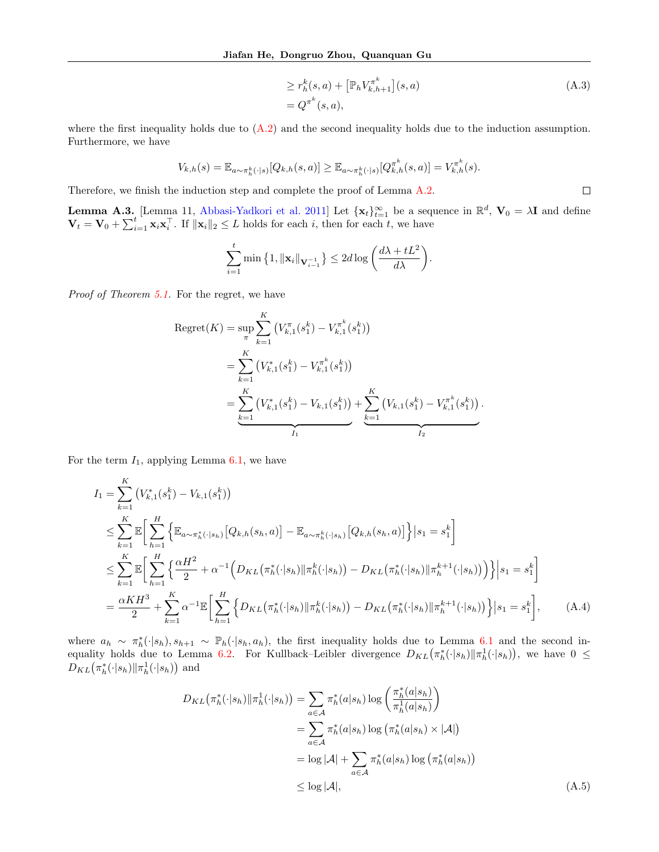$$
\geq r_h^k(s, a) + \left[ \mathbb{P}_h V_{k, h+1}^{\pi^k} \right](s, a) \n= Q^{\pi^k}(s, a),
$$
\n(A.3)

 $\Box$ 

where the first inequality holds due to  $(A.2)$  and the second inequality holds due to the induction assumption. Furthermore, we have

$$
V_{k,h}(s) = \mathbb{E}_{a \sim \pi_h^k(\cdot | s)}[Q_{k,h}(s,a)] \geq \mathbb{E}_{a \sim \pi_h^k(\cdot | s)}[Q_{k,h}^{\pi^k}(s,a)] = V_{k,h}^{\pi^k}(s).
$$

Therefore, we finish the induction step and complete the proof of Lemma [A.2.](#page-11-0)

<span id="page-12-2"></span>**Lemma A.3.** [Lemma 11, [Abbasi-Yadkori et al.](#page-9-9) [2011\]](#page-9-9) Let  $\{x_t\}_{t=1}^{\infty}$  be a sequence in  $\mathbb{R}^d$ ,  $V_0 = \lambda I$  and define  $\mathbf{V}_t = \mathbf{V}_0 + \sum_{i=1}^t \mathbf{x}_i \mathbf{x}_i^{\top}$ . If  $\|\mathbf{x}_i\|_2 \leq L$  holds for each i, then for each t, we have

$$
\sum_{i=1}^{t} \min\left\{1, \|\mathbf{x}_{i}\|_{\mathbf{V}_{i-1}^{-1}}\right\} \leq 2d \log\left(\frac{d\lambda + tL^2}{d\lambda}\right).
$$

Proof of Theorem [5.1.](#page-6-0) For the regret, we have

$$
Regret(K) = \sup_{\pi} \sum_{k=1}^{K} (V_{k,1}^{\pi}(s_1^k) - V_{k,1}^{\pi^k}(s_1^k))
$$
  
= 
$$
\sum_{k=1}^{K} (V_{k,1}^*(s_1^k) - V_{k,1}^{\pi^k}(s_1^k))
$$
  
= 
$$
\underbrace{\sum_{k=1}^{K} (V_{k,1}^*(s_1^k) - V_{k,1}(s_1^k))}_{I_1} + \underbrace{\sum_{k=1}^{K} (V_{k,1}(s_1^k) - V_{k,1}^{\pi^k}(s_1^k))}_{I_2}.
$$

For the term  $I_1$ , applying Lemma [6.1,](#page-6-2) we have

$$
I_{1} = \sum_{k=1}^{K} (V_{k,1}^{*}(s_{1}^{k}) - V_{k,1}(s_{1}^{k}))
$$
  
\n
$$
\leq \sum_{k=1}^{K} \mathbb{E} \Bigg[ \sum_{h=1}^{H} \Big\{ \mathbb{E}_{a \sim \pi_{h}^{*}(\cdot | s_{h})} [Q_{k,h}(s_{h}, a)] - \mathbb{E}_{a \sim \pi_{h}^{k}(\cdot | s_{h})} [Q_{k,h}(s_{h}, a)] \Big\} | s_{1} = s_{1}^{k} \Bigg]
$$
  
\n
$$
\leq \sum_{k=1}^{K} \mathbb{E} \Bigg[ \sum_{h=1}^{H} \Big\{ \frac{\alpha H^{2}}{2} + \alpha^{-1} \Big( D_{KL}(\pi_{h}^{*}(\cdot | s_{h}) || \pi_{h}^{k}(\cdot | s_{h})) - D_{KL}(\pi_{h}^{*}(\cdot | s_{h}) || \pi_{h}^{k+1}(\cdot | s_{h})) \Big) \Big\} | s_{1} = s_{1}^{k} \Bigg]
$$
  
\n
$$
= \frac{\alpha KH^{3}}{2} + \sum_{k=1}^{K} \alpha^{-1} \mathbb{E} \Bigg[ \sum_{h=1}^{H} \Big\{ D_{KL}(\pi_{h}^{*}(\cdot | s_{h}) || \pi_{h}^{k}(\cdot | s_{h})) - D_{KL}(\pi_{h}^{*}(\cdot | s_{h}) || \pi_{h}^{k+1}(\cdot | s_{h})) \Big\} | s_{1} = s_{1}^{k} \Bigg], \qquad (A.4)
$$

where  $a_h \sim \pi_h^*(\cdot|s_h), s_{h+1} \sim \mathbb{P}_h(\cdot|s_h, a_h)$ , the first inequality holds due to Lemma [6.1](#page-6-2) and the second in-equality holds due to Lemma [6.2.](#page-6-3) For Kullback–Leibler divergence  $D_{KL}(\pi_h^*(\cdot|s_h)||\pi_h^1(\cdot|s_h))$ , we have  $0 \le$  $D_{KL}(\pi_h^*(\cdot|s_h)||\pi_h^1(\cdot|s_h))$  and

<span id="page-12-1"></span><span id="page-12-0"></span>
$$
D_{KL}(\pi_h^*(\cdot|s_h)||\pi_h^1(\cdot|s_h)) = \sum_{a \in \mathcal{A}} \pi_h^*(a|s_h) \log \left(\frac{\pi_h^*(a|s_h)}{\pi_h^1(a|s_h)}\right)
$$
  

$$
= \sum_{a \in \mathcal{A}} \pi_h^*(a|s_h) \log \left(\pi_h^*(a|s_h) \times |\mathcal{A}|\right)
$$
  

$$
= \log |\mathcal{A}| + \sum_{a \in \mathcal{A}} \pi_h^*(a|s_h) \log \left(\pi_h^*(a|s_h)\right)
$$
  

$$
\leq \log |\mathcal{A}|, \tag{A.5}
$$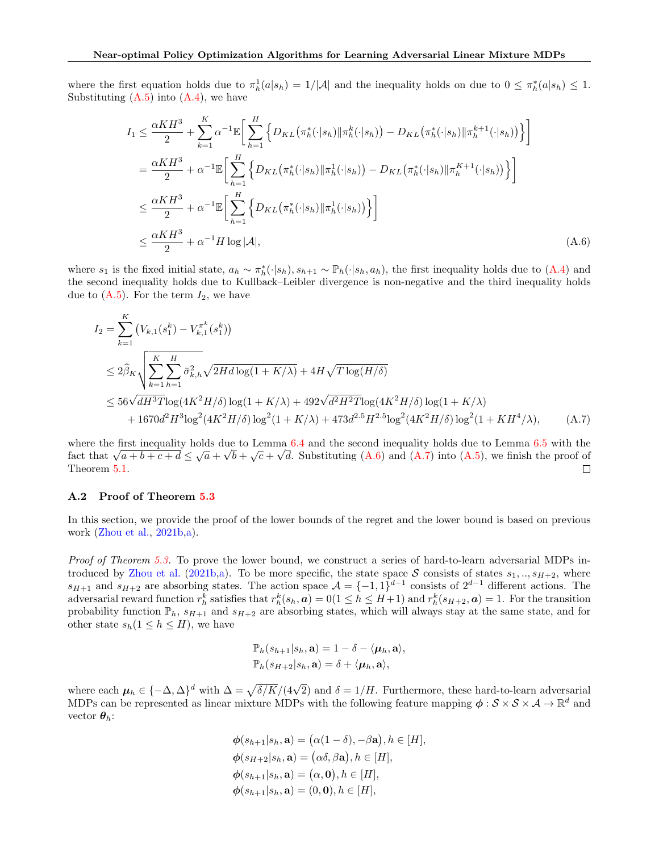where the first equation holds due to  $\pi_h^1(a|s_h) = 1/|\mathcal{A}|$  and the inequality holds on due to  $0 \leq \pi_h^*(a|s_h) \leq 1$ . Substituting  $(A.5)$  into  $(A.4)$ , we have

<span id="page-13-0"></span>
$$
I_{1} \leq \frac{\alpha KH^{3}}{2} + \sum_{k=1}^{K} \alpha^{-1} \mathbb{E} \bigg[ \sum_{h=1}^{H} \Big\{ D_{KL} \big( \pi_{h}^{*}(\cdot | s_{h}) \| \pi_{h}^{k}(\cdot | s_{h}) \big) - D_{KL} \big( \pi_{h}^{*}(\cdot | s_{h}) \| \pi_{h}^{k+1}(\cdot | s_{h}) \big) \Big\} \bigg]
$$
  
\n
$$
= \frac{\alpha KH^{3}}{2} + \alpha^{-1} \mathbb{E} \bigg[ \sum_{h=1}^{H} \Big\{ D_{KL} \big( \pi_{h}^{*}(\cdot | s_{h}) \| \pi_{h}^{1}(\cdot | s_{h}) \big) - D_{KL} \big( \pi_{h}^{*}(\cdot | s_{h}) \| \pi_{h}^{K+1}(\cdot | s_{h}) \big) \Big\} \bigg]
$$
  
\n
$$
\leq \frac{\alpha KH^{3}}{2} + \alpha^{-1} \mathbb{E} \bigg[ \sum_{h=1}^{H} \Big\{ D_{KL} \big( \pi_{h}^{*}(\cdot | s_{h}) \| \pi_{h}^{1}(\cdot | s_{h}) \big) \Big\} \bigg]
$$
  
\n
$$
\leq \frac{\alpha KH^{3}}{2} + \alpha^{-1} H \log |\mathcal{A}|,
$$
\n(A.6)

where  $s_1$  is the fixed initial state,  $a_h \sim \pi_h^*(\cdot | s_h)$ ,  $s_{h+1} \sim \mathbb{P}_h(\cdot | s_h, a_h)$ , the first inequality holds due to  $(A.4)$  and the second inequality holds due to Kullback–Leibler divergence is non-negative and the third inequality holds due to  $(A.5)$ . For the term  $I_2$ , we have

$$
I_2 = \sum_{k=1}^{K} \left( V_{k,1}(s_1^k) - V_{k,1}^{\pi^k}(s_1^k) \right)
$$
  
\n
$$
\leq 2\hat{\beta}_K \sqrt{\sum_{k=1}^{K} \sum_{h=1}^{H} \bar{\sigma}_{k,h}^2 \sqrt{2Hd\log(1 + K/\lambda)} + 4H\sqrt{T\log(H/\delta)}}
$$
  
\n
$$
\leq 56\sqrt{dH^3T\log(4K^2H/\delta)\log(1 + K/\lambda)} + 492\sqrt{d^2H^2T\log(4K^2H/\delta)\log(1 + K/\lambda)}
$$
  
\n
$$
+ 1670d^2H^3\log^2(4K^2H/\delta)\log^2(1 + K/\lambda) + 473d^{2.5}H^{2.5}\log^2(4K^2H/\delta)\log^2(1 + KH^4/\lambda), \qquad (A.7)
$$

where the first inequality holds due to Lemma [6.4](#page-7-1) and the second inequality holds due to Lemma [6.5](#page-8-1) with the where the first mequality holds due to Lemma 6.4 and the second inequality holds due to Lemma 6.5 with the proof of fact that  $\sqrt{a+b+c+d} \leq \sqrt{a} + \sqrt{b} + \sqrt{c} + \sqrt{d}$ . Substituting [\(A.6\)](#page-13-0) and [\(A.7\)](#page-13-1) into [\(A.5\)](#page-12-0), we finish the pr Theorem [5.1.](#page-6-0)  $\Box$ 

#### A.2 Proof of Theorem [5.3](#page-6-1)

In this section, we provide the proof of the lower bounds of the regret and the lower bound is based on previous work [\(Zhou et al.,](#page-10-6) [2021b](#page-10-6)[,a\)](#page-10-14).

Proof of Theorem [5.3.](#page-6-1) To prove the lower bound, we construct a series of hard-to-learn adversarial MDPs in-troduced by [Zhou et al.](#page-10-6) [\(2021b,](#page-10-6)[a\)](#page-10-14). To be more specific, the state space S consists of states  $s_1, ..., s_{H+2}$ , where  $s_{H+1}$  and  $s_{H+2}$  are absorbing states. The action space  $\mathcal{A} = \{-1,1\}^{d-1}$  consists of  $2^{d-1}$  different actions. The adversarial reward function  $r_h^k$  satisfies that  $r_h^k(s_h, a) = 0(1 \le h \le H+1)$  and  $r_h^k(s_{H+2}, a) = 1$ . For the transition probability function  $\mathbb{P}_h$ ,  $s_{H+1}$  and  $s_{H+2}$  are absorbing states, which will always stay at the same state, and for other state  $s_h(1 \leq h \leq H)$ , we have

<span id="page-13-1"></span>
$$
\mathbb{P}_h(s_{h+1}|s_h, \mathbf{a}) = 1 - \delta - \langle \mu_h, \mathbf{a} \rangle, \n\mathbb{P}_h(s_{H+2}|s_h, \mathbf{a}) = \delta + \langle \mu_h, \mathbf{a} \rangle,
$$

where each  $\mu_h \in \{-\Delta, \Delta\}^d$  with  $\Delta = \sqrt{\delta/K}/(4\sqrt{2})$  and  $\delta = 1/H$ . Furthermore, these hard-to-learn adversarial MDPs can be represented as linear mixture MDPs with the following feature mapping  $\phi: \mathcal{S} \times \mathcal{S} \times \mathcal{A} \to \mathbb{R}^d$  and vector  $\boldsymbol{\theta}_h$ :

$$
\begin{aligned}\n\phi(s_{h+1}|s_h, \mathbf{a}) &= (\alpha(1-\delta), -\beta \mathbf{a}), h \in [H], \\
\phi(s_{H+2}|s_h, \mathbf{a}) &= (\alpha \delta, \beta \mathbf{a}), h \in [H], \\
\phi(s_{h+1}|s_h, \mathbf{a}) &= (\alpha, \mathbf{0}), h \in [H], \\
\phi(s_{h+1}|s_h, \mathbf{a}) &= (0, \mathbf{0}), h \in [H],\n\end{aligned}
$$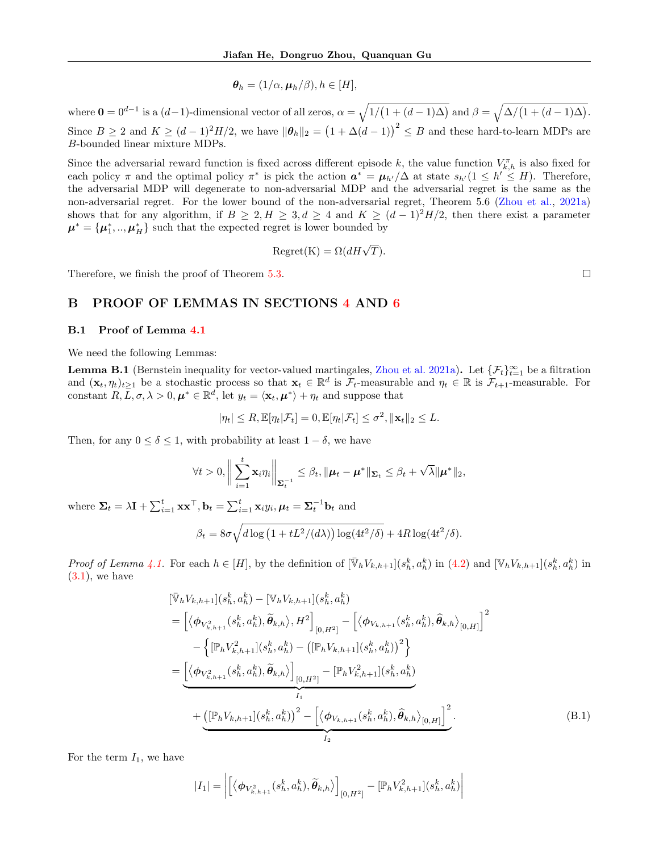$$
\boldsymbol{\theta}_h = (1/\alpha, \boldsymbol{\mu}_h/\beta), h \in [H],
$$

where  $\mathbf{0} = 0^{d-1}$  is a  $(d-1)$ -dimensional vector of all zeros,  $\alpha = \sqrt{1/(1 + (d-1)\Delta)}$  and  $\beta = \sqrt{\Delta/(1 + (d-1)\Delta)}$ . Since  $B \ge 2$  and  $K \ge (d-1)^2 H/2$ , we have  $\|\boldsymbol{\theta}_h\|_2 = (1 + \Delta(d-1))^2 \le B$  and these hard-to-learn MDPs are B-bounded linear mixture MDPs.

Since the adversarial reward function is fixed across different episode k, the value function  $V_{k,h}^{\pi}$  is also fixed for each policy  $\pi$  and the optimal policy  $\pi^*$  is pick the action  $a^* = \mu_{h'}/\Delta$  at state  $s_{h'}(1 \leq h' \leq H)$ . Therefore, the adversarial MDP will degenerate to non-adversarial MDP and the adversarial regret is the same as the non-adversarial regret. For the lower bound of the non-adversarial regret, Theorem 5.6 [\(Zhou et al.,](#page-10-14) [2021a\)](#page-10-14) shows that for any algorithm, if  $B \geq 2, H \geq 3, d \geq 4$  and  $K \geq (d-1)^2H/2$ , then there exist a parameter  $\boldsymbol{\mu}^* = {\mu_1^*, ..., \mu_H^*}$  such that the expected regret is lower bounded by

$$
Regret(K) = \Omega(dH\sqrt{T}).
$$

Therefore, we finish the proof of Theorem [5.3.](#page-6-1)

### B PROOF OF LEMMAS IN SECTIONS [4](#page-3-5) AND [6](#page-6-4)

#### B.1 Proof of Lemma [4.1](#page-5-2)

We need the following Lemmas:

**Lemma B.1** (Bernstein inequality for vector-valued martingales, [Zhou et al.](#page-10-14) [2021a\)](#page-10-14). Let  $\{\mathcal{F}_t\}_{t=1}^{\infty}$  be a filtration and  $(\mathbf{x}_t, \eta_t)_{t\geq 1}$  be a stochastic process so that  $\mathbf{x}_t \in \mathbb{R}^d$  is  $\mathcal{F}_t$ -measurable and  $\eta_t \in \mathbb{R}$  is  $\mathcal{F}_{t+1}$ -measurable. For constant  $R, \bar{L}, \sigma, \lambda > 0, \mu^* \in \mathbb{R}^d$ , let  $y_t = \langle \mathbf{x}_t, \mu^* \rangle + \eta_t$  and suppose that

$$
|\eta_t| \leq R, \mathbb{E}[\eta_t|\mathcal{F}_t] = 0, \mathbb{E}[\eta_t|\mathcal{F}_t] \leq \sigma^2, \|\mathbf{x}_t\|_2 \leq L.
$$

Then, for any  $0 \le \delta \le 1$ , with probability at least  $1 - \delta$ , we have

$$
\forall t > 0, \left\|\sum_{i=1}^t \mathbf{x}_i \eta_i\right\|_{\mathbf{\Sigma}_t^{-1}} \leq \beta_t, \|\boldsymbol{\mu}_t - \boldsymbol{\mu}^*\|_{\mathbf{\Sigma}_t} \leq \beta_t + \sqrt{\lambda} \|\boldsymbol{\mu}^*\|_2,
$$

where  $\Sigma_t = \lambda \mathbf{I} + \sum_{i=1}^t \mathbf{x} \mathbf{x}^\top, \mathbf{b}_t = \sum_{i=1}^t \mathbf{x}_i y_i, \mu_t = \Sigma_t^{-1} \mathbf{b}_t$  and

$$
\beta_t = 8\sigma \sqrt{d \log \left(1 + tL^2/(d\lambda)\right) \log(4t^2/\delta)} + 4R \log(4t^2/\delta).
$$

Proof of Lemma [4.1.](#page-5-2) For each  $h \in [H]$ , by the definition of  $[\bar{\mathbb{V}}_h V_{k,h+1}](s_h^k, a_h^k)$  in  $(4.2)$  and  $[\mathbb{V}_h V_{k,h+1}](s_h^k, a_h^k)$  in  $(3.1)$ , we have

$$
[\bar{\mathbb{V}}_{h}V_{k,h+1}](s_{h}^{k}, a_{h}^{k}) - [\mathbb{V}_{h}V_{k,h+1}](s_{h}^{k}, a_{h}^{k})
$$
\n
$$
= \left[ \langle \phi_{V_{k,h+1}^{2}}(s_{h}^{k}, a_{h}^{k}), \tilde{\theta}_{k,h} \rangle, H^{2} \right]_{[0, H^{2}]} - \left[ \langle \phi_{V_{k,h+1}}(s_{h}^{k}, a_{h}^{k}), \hat{\theta}_{k,h} \rangle_{[0, H]} \right]^{2}
$$
\n
$$
- \left\{ [\mathbb{P}_{h}V_{k,h+1}^{2}](s_{h}^{k}, a_{h}^{k}) - ([\mathbb{P}_{h}V_{k,h+1}](s_{h}^{k}, a_{h}^{k}))^{2} \right\}
$$
\n
$$
= \underbrace{\left[ \langle \phi_{V_{k,h+1}^{2}}(s_{h}^{k}, a_{h}^{k}), \tilde{\theta}_{k,h} \rangle \right]_{[0, H^{2}]} - [\mathbb{P}_{h}V_{k,h+1}^{2}](s_{h}^{k}, a_{h}^{k})}_{I_{1}}
$$
\n
$$
+ \underbrace{([\mathbb{P}_{h}V_{k,h+1}](s_{h}^{k}, a_{h}^{k}))^{2} - [\langle \phi_{V_{k,h+1}}(s_{h}^{k}, a_{h}^{k}), \hat{\theta}_{k,h} \rangle_{[0, H]} \right]^{2}}_{I_{2}}.
$$
\n(B.1)

For the term  $I_1$ , we have

<span id="page-14-0"></span>
$$
|I_1| = \left| \left[ \left\langle \phi_{V_{k,h+1}^2}(s_h^k, a_h^k), \widetilde{\theta}_{k,h} \right\rangle \right]_{[0,H^2]} - \left[ \mathbb{P}_h V_{k,h+1}^2 \right] (s_h^k, a_h^k) \right|
$$

 $\Box$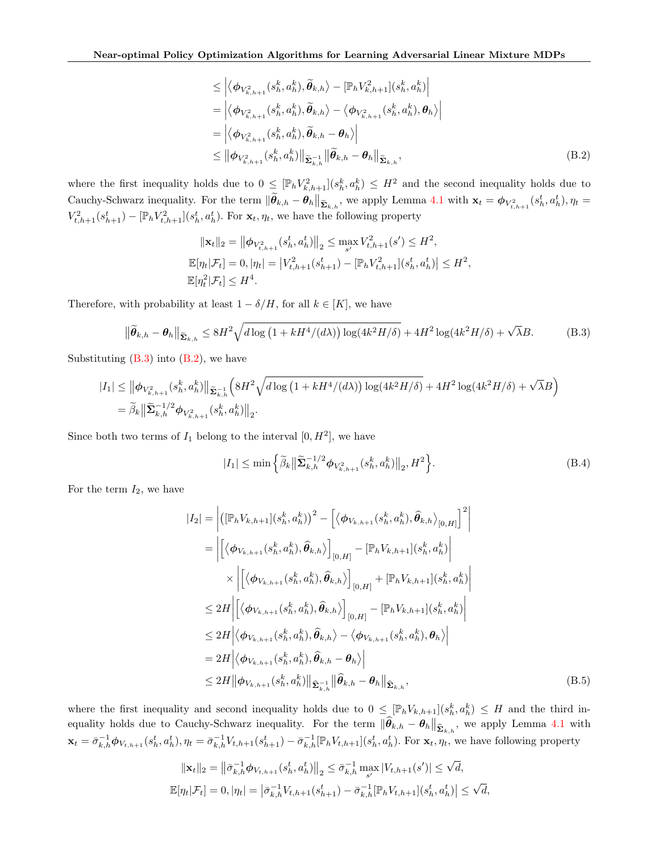<span id="page-15-1"></span>
$$
\leq \left| \left\langle \phi_{V_{k,h+1}^2}(s_h^k, a_h^k), \widetilde{\theta}_{k,h} \right\rangle - \left[ \mathbb{P}_h V_{k,h+1}^2 \right] (s_h^k, a_h^k) \right|
$$
  
\n
$$
= \left| \left\langle \phi_{V_{k,h+1}^2}(s_h^k, a_h^k), \widetilde{\theta}_{k,h} \right\rangle - \left\langle \phi_{V_{k,h+1}^2}(s_h^k, a_h^k), \theta_h \right\rangle \right|
$$
  
\n
$$
= \left| \left\langle \phi_{V_{k,h+1}^2}(s_h^k, a_h^k), \widetilde{\theta}_{k,h} - \theta_h \right\rangle \right|
$$
  
\n
$$
\leq \left\| \phi_{V_{k,h+1}^2}(s_h^k, a_h^k) \right\|_{\widetilde{\Sigma}_{k,h}^{-1}} \left\| \widetilde{\theta}_{k,h} - \theta_h \right\|_{\widetilde{\Sigma}_{k,h}}, \tag{B.2}
$$

where the first inequality holds due to  $0 \leq [\mathbb{P}_h V_{k,h+1}^2](s_h^k, a_h^k) \leq H^2$  and the second inequality holds due to Cauchy-Schwarz inequality. For the term  $\|\tilde{\theta}_{k,h} - \theta_h\|_{\tilde{\Sigma}_{k,h}}$ , we apply Lemma [4.1](#page-5-2) with  $\mathbf{x}_t = \phi_{V_{t,h+1}^2}(s_h^t, a_h^t), \eta_t =$  $V_{t,h+1}^2(s_{h+1}^t) - [\mathbb{P}_h V_{t,h+1}^2](s_h^t, a_h^t)$ . For  $\mathbf{x}_t, \eta_t$ , we have the following property

$$
\|\mathbf{x}_{t}\|_{2} = \left\|\phi_{V_{t,h+1}^{2}}(s_{h}^{t}, a_{h}^{t})\right\|_{2} \le \max_{s'} V_{t,h+1}^{2}(s') \le H^{2},
$$
  

$$
\mathbb{E}[\eta_{t}|\mathcal{F}_{t}] = 0, |\eta_{t}| = \left|V_{t,h+1}^{2}(s_{h+1}^{t}) - \left[\mathbb{P}_{h}V_{t,h+1}^{2}\right](s_{h}^{t}, a_{h}^{t})\right| \le H^{2},
$$
  

$$
\mathbb{E}[\eta_{t}^{2}|\mathcal{F}_{t}] \le H^{4}.
$$

Therefore, with probability at least  $1 - \delta/H$ , for all  $k \in [K]$ , we have

$$
\|\widetilde{\boldsymbol{\theta}}_{k,h} - \boldsymbol{\theta}_h\|_{\widetilde{\boldsymbol{\Sigma}}_{k,h}} \leq 8H^2 \sqrt{d \log\left(1 + kH^4/(d\lambda)\right) \log(4k^2 H/\delta)} + 4H^2 \log(4k^2 H/\delta) + \sqrt{\lambda}B. \tag{B.3}
$$

Substituting  $(B.3)$  into  $(B.2)$ , we have

$$
\begin{split} |I_1| \leq \big\| \phi_{V_{k,h+1}^2}(s_h^k, a_h^k) \big\|_{\widetilde{\mathbf{\Sigma}}_{k,h}^{-1}} \Big( 8H^2 \sqrt{d \log \left( 1 + k H^4/(d\lambda) \right) \log (4k^2 H/\delta) } + 4 H^2 \log (4k^2 H/\delta) + \sqrt{\lambda} B \Big) \\ = \widetilde{\beta}_k \big\| \widetilde{\mathbf{\Sigma}}_{k,h}^{-1/2} \phi_{V_{k,h+1}^2}(s_h^k, a_h^k) \big\|_2. \end{split}
$$

Since both two terms of  $I_1$  belong to the interval  $[0, H^2]$ , we have

<span id="page-15-3"></span><span id="page-15-2"></span><span id="page-15-0"></span>
$$
|I_1| \le \min\left\{\tilde{\beta}_k \big\|\tilde{\Sigma}_{k,h}^{-1/2} \phi_{V_{k,h+1}^2}(s_h^k, a_h^k)\big\|_2, H^2\right\}.
$$
 (B.4)

For the term  $I_2$ , we have

$$
|I_{2}| = \left| \left( [\mathbb{P}_{h} V_{k,h+1}](s_{h}^{k}, a_{h}^{k}) \right)^{2} - \left[ \left\langle \phi_{V_{k,h+1}}(s_{h}^{k}, a_{h}^{k}), \hat{\theta}_{k,h} \right\rangle_{[0,H]} \right]^{2} \right|
$$
  
\n
$$
= \left| \left[ \left\langle \phi_{V_{k,h+1}}(s_{h}^{k}, a_{h}^{k}), \hat{\theta}_{k,h} \right\rangle \right|_{[0,H]} - [\mathbb{P}_{h} V_{k,h+1}](s_{h}^{k}, a_{h}^{k}) \right|
$$
  
\n
$$
\times \left| \left[ \left\langle \phi_{V_{k,h+1}}(s_{h}^{k}, a_{h}^{k}), \hat{\theta}_{k,h} \right\rangle \right]_{[0,H]} + [\mathbb{P}_{h} V_{k,h+1}](s_{h}^{k}, a_{h}^{k}) \right|
$$
  
\n
$$
\leq 2H \left| \left\langle \phi_{V_{k,h+1}}(s_{h}^{k}, a_{h}^{k}), \hat{\theta}_{k,h} \right\rangle \right|_{[0,H]} - [\mathbb{P}_{h} V_{k,h+1}](s_{h}^{k}, a_{h}^{k}) \right|
$$
  
\n
$$
\leq 2H \left| \left\langle \phi_{V_{k,h+1}}(s_{h}^{k}, a_{h}^{k}), \hat{\theta}_{k,h} \right\rangle - \left\langle \phi_{V_{k,h+1}}(s_{h}^{k}, a_{h}^{k}), \theta_{h} \right\rangle \right|
$$
  
\n
$$
= 2H \left| \left\langle \phi_{V_{k,h+1}}(s_{h}^{k}, a_{h}^{k}), \hat{\theta}_{k,h} - \theta_{h} \right\rangle \right|
$$
  
\n
$$
\leq 2H \left\| \phi_{V_{k,h+1}}(s_{h}^{k}, a_{h}^{k}), \hat{\theta}_{k,h} - \theta_{h} \right\|
$$
  
\n
$$
\leq 2H \left\| \phi_{V_{k,h+1}}(s_{h}^{k}, a_{h}^{k}) \right\| \hat{\Sigma}_{k,h}^{-1} \left\| \hat{\theta}_{k,h} - \theta_{h} \right\|_{\hat{\Sigma}_{k,h}}, \qquad (B.5)
$$

where the first inequality and second inequality holds due to  $0 \leq [\mathbb{P}_h V_{k,h+1}](s_h^k, a_h^k) \leq H$  and the third inequality holds due to Cauchy-Schwarz inequality. For the term  $\|\widehat{\theta}_{k,h} - \theta_h\|_{\widehat{\Sigma}_{k,h}}$ , we apply Lemma [4.1](#page-5-2) with  $\mathbf{x}_t = \bar{\sigma}_{k,h}^{-1} \phi_{V_{t,h+1}}(s_h^t, a_h^t), \eta_t = \bar{\sigma}_{k,h}^{-1} V_{t,h+1}(s_{h+1}^t) - \bar{\sigma}_{k,h}^{-1} [\mathbb{P}_h V_{t,h+1}](s_h^t, a_h^t)$ . For  $\mathbf{x}_t, \eta_t$ , we have following property

$$
\|\mathbf{x}_{t}\|_{2} = \left\|\bar{\sigma}_{k,h}^{-1} \phi_{V_{t,h+1}}(s_{h}^{t}, a_{h}^{t})\right\|_{2} \leq \bar{\sigma}_{k,h}^{-1} \max_{s'} |V_{t,h+1}(s')| \leq \sqrt{d},
$$
  

$$
\mathbb{E}[\eta_{t}|\mathcal{F}_{t}] = 0, |\eta_{t}| = \left|\bar{\sigma}_{k,h}^{-1} V_{t,h+1}(s_{h+1}^{t}) - \bar{\sigma}_{k,h}^{-1} [\mathbb{P}_{h} V_{t,h+1}](s_{h}^{t}, a_{h}^{t})\right| \leq \sqrt{d},
$$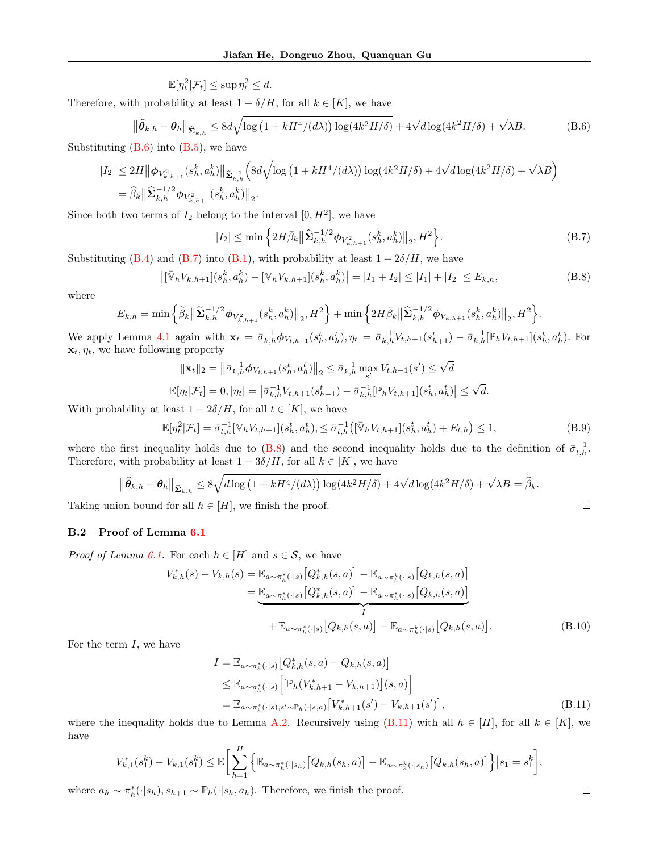$\mathbb{E}[\eta_t^2|\mathcal{F}_t] \leq \sup \eta_t^2 \leq d.$ 

Therefore, with probability at least  $1 - \delta/H$ , for all  $k \in [K]$ , we have

$$
\|\widehat{\theta}_{k,h} - \theta_h\|_{\widehat{\mathbf{\Sigma}}_{k,h}} \le 8d\sqrt{\log\left(1 + kH^4/(d\lambda)\right)\log(4k^2H/\delta)} + 4\sqrt{d}\log(4k^2H/\delta) + \sqrt{\lambda}B. \tag{B.6}
$$

Substituting  $(B.6)$  into  $(B.5)$ , we have

$$
\begin{split} |I_2| \leq 2H \big\| \phi_{V_{k,h+1}^2}(s_h^k, a_h^k) \big\|_{\widehat{\mathbf{\Sigma}}_{k,h}^{-1}} \Big( 8d\sqrt{\log\left(1 + kH^4/(d\lambda)\right) \log(4k^2H/\delta)} + 4\sqrt{d}\log(4k^2H/\delta) + \sqrt{\lambda}B \Big) \\ &= \widehat{\beta}_k \big\| \widehat{\mathbf{\Sigma}}_{k,h}^{-1/2} \boldsymbol{\phi}_{V_{k,h+1}^2}(s_h^k, a_h^k) \big\|_2. \end{split}
$$

Since both two terms of  $I_2$  belong to the interval  $[0, H^2]$ , we have

<span id="page-16-0"></span>
$$
|I_2| \le \min\left\{2H\bar{\beta}_k \big\|\widehat{\mathbf{\Sigma}}_{k,h}^{-1/2}\phi_{V_{k,h+1}^2}(s_h^k, a_h^k)\big\|_2, H^2\right\}.
$$
 (B.7)

Substituting [\(B.4\)](#page-15-3) and [\(B.7\)](#page-16-1) into [\(B.1\)](#page-14-0), with probability at least  $1 - 2\delta/H$ , we have

$$
\left| [\bar{\mathbb{V}}_h V_{k,h+1}] (s_h^k, a_h^k) - [\mathbb{V}_h V_{k,h+1}] (s_h^k, a_h^k) \right| = |I_1 + I_2| \le |I_1| + |I_2| \le E_{k,h},
$$
\n(B.8)

where

$$
E_{k,h} = \min\Big\{\widetilde{\beta}_k \big\| \widetilde{\Sigma}_{k,h}^{-1/2} \boldsymbol{\phi}_{V_{k,h+1}^2}(s_h^k,a_h^k) \big\|_2, H^2 \Big\} + \min\Big\{ 2H\bar{\beta}_k \big\| \widehat{\Sigma}_{k,h}^{-1/2} \boldsymbol{\phi}_{V_{k,h+1}}(s_h^k,a_h^k) \big\|_2, H^2 \Big\}.
$$

We apply Lemma [4.1](#page-5-2) again with  $\mathbf{x}_t = \bar{\sigma}_{k,h}^{-1} \phi_{V_{t,h+1}}(s_h^t, a_h^t), \eta_t = \bar{\sigma}_{k,h}^{-1} V_{t,h+1}(s_{h+1}^t) - \bar{\sigma}_{k,h}^{-1} [\mathbb{P}_h V_{t,h+1}](s_h^t, a_h^t)$ . For  $\mathbf{x}_t, \eta_t$ , we have following property √

$$
\|\mathbf{x}_{t}\|_{2} = \left\|\bar{\sigma}_{k,h}^{-1} \phi_{V_{t,h+1}}(s_{h}^{t}, a_{h}^{t})\right\|_{2} \leq \bar{\sigma}_{k,h}^{-1} \max_{s'} V_{t,h+1}(s') \leq \sqrt{d}
$$
  

$$
\mathbb{E}[\eta_{t}|\mathcal{F}_{t}] = 0, |\eta_{t}| = \left|\bar{\sigma}_{k,h}^{-1} V_{t,h+1}(s_{h+1}^{t}) - \bar{\sigma}_{k,h}^{-1} [\mathbb{P}_{h} V_{t,h+1}](s_{h}^{t}, a_{h}^{t})\right| \leq \sqrt{d}.
$$

With probability at least  $1 - 2\delta/H$ , for all  $t \in [K]$ , we have

 $\mathbb{E}[\eta_t^2 | \mathcal{F}_t] = \bar{\sigma}_{t,h}^{-1} [\mathbb{V}_h V_{t,h+1}](s_h^t, a_h^t), \leq \bar{\sigma}_{t,h}^{-1} \left( [\bar{\mathbb{V}}_h V_{t,h+1}](s_h^t, a_h^t) + E_{t,h} \right)$  $(B.9)$ 

where the first inequality holds due to [\(B.8\)](#page-16-2) and the second inequality holds due to the definition of  $\bar{\sigma}_{t,h}^{-1}$ . Therefore, with probability at least  $1 - 3\delta/H$ , for all  $k \in [K]$ , we have

$$
\|\widehat{\theta}_{k,h} - \theta_h\|_{\widehat{\mathbf{\Sigma}}_{k,h}} \le 8\sqrt{d \log\left(1 + kH^4/(d\lambda)\right) \log(4k^2H/\delta)} + 4\sqrt{d} \log(4k^2H/\delta) + \sqrt{\lambda}B = \widehat{\beta}_k.
$$

Taking union bound for all  $h \in [H]$ , we finish the proof.

## B.2 Proof of Lemma [6.1](#page-6-2)

*Proof of Lemma [6.1.](#page-6-2)* For each  $h \in [H]$  and  $s \in \mathcal{S}$ , we have

$$
V_{k,h}^{*}(s) - V_{k,h}(s) = \mathbb{E}_{a \sim \pi_{h}^{*}(\cdot|s)} [Q_{k,h}^{*}(s, a)] - \mathbb{E}_{a \sim \pi_{h}^{k}(\cdot|s)} [Q_{k,h}(s, a)]
$$
  
\n
$$
= \underbrace{\mathbb{E}_{a \sim \pi_{h}^{*}(\cdot|s)} [Q_{k,h}^{*}(s, a)] - \mathbb{E}_{a \sim \pi_{h}^{*}(\cdot|s)} [Q_{k,h}(s, a)]}_{I}
$$
  
\n
$$
+ \mathbb{E}_{a \sim \pi_{h}^{*}(\cdot|s)} [Q_{k,h}(s, a)] - \mathbb{E}_{a \sim \pi_{h}^{k}(\cdot|s)} [Q_{k,h}(s, a)].
$$
 (B.10)

For the term  $I$ , we have

$$
I = \mathbb{E}_{a \sim \pi_h^*(\cdot|s)} [Q_{k,h}^*(s, a) - Q_{k,h}(s, a)]
$$
  
\n
$$
\leq \mathbb{E}_{a \sim \pi_h^*(\cdot|s)} [[\mathbb{P}_h(V_{k,h+1}^* - V_{k,h+1})](s, a)]
$$
  
\n
$$
= \mathbb{E}_{a \sim \pi_h^*(\cdot|s), s' \sim \mathbb{P}_h(\cdot|s, a)} [V_{k,h+1}^*(s') - V_{k,h+1}(s')] ,
$$
\n(B.11)

where the inequality holds due to Lemma [A.2.](#page-11-0) Recursively using [\(B.11\)](#page-16-3) with all  $h \in [H]$ , for all  $k \in [K]$ , we have

$$
V_{k,1}^*(s_1^k) - V_{k,1}(s_1^k) \leq \mathbb{E}\bigg[\sum_{h=1}^H \Big\{ \mathbb{E}_{a \sim \pi_h^*(\cdot|s_h)}\big[Q_{k,h}(s_h,a)\big] - \mathbb{E}_{a \sim \pi_h^k(\cdot|s_h)}\big[Q_{k,h}(s_h,a)\big] \Big\}\big|s_1 = s_1^k\bigg],
$$

where  $a_h \sim \pi_h^*(\cdot | s_h), s_{h+1} \sim \mathbb{P}_h(\cdot | s_h, a_h)$ . Therefore, we finish the proof.

<span id="page-16-3"></span><span id="page-16-2"></span><span id="page-16-1"></span> $\Box$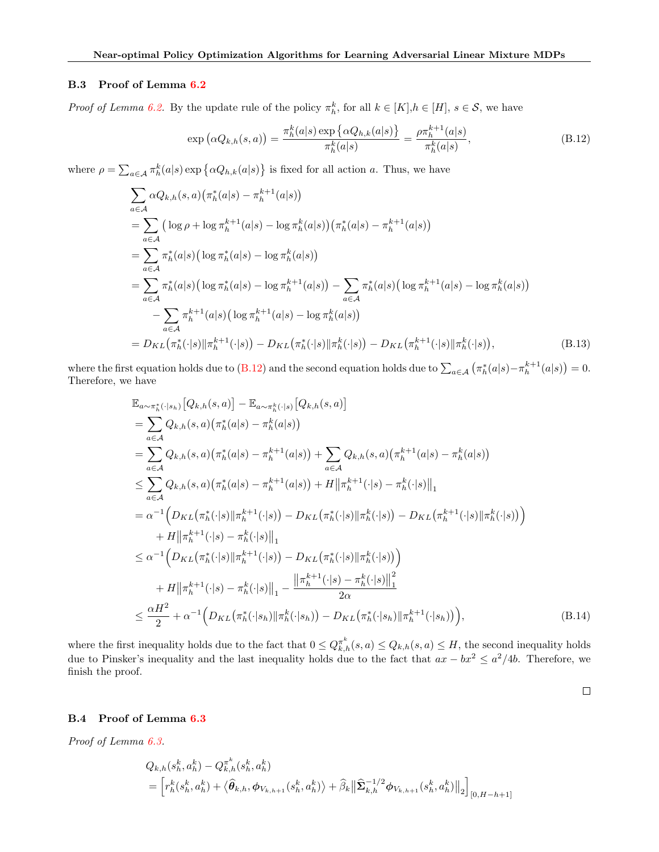#### B.3 Proof of Lemma [6.2](#page-6-3)

*Proof of Lemma [6.2.](#page-6-3)* By the update rule of the policy  $\pi_h^k$ , for all  $k \in [K], h \in [H], s \in \mathcal{S}$ , we have

<span id="page-17-0"></span>
$$
\exp\left(\alpha Q_{k,h}(s,a)\right) = \frac{\pi_h^k(a|s) \exp\left\{\alpha Q_{h,k}(a|s)\right\}}{\pi_h^k(a|s)} = \frac{\rho \pi_h^{k+1}(a|s)}{\pi_h^k(a|s)},
$$
\n(B.12)

where  $\rho = \sum_{a \in \mathcal{A}} \pi_h^k(a|s) \exp \{ \alpha Q_{h,k}(a|s) \}$  is fixed for all action a. Thus, we have

$$
\sum_{a \in A} \alpha Q_{k,h}(s, a) (\pi_h^*(a|s) - \pi_h^{k+1}(a|s))
$$
\n
$$
= \sum_{a \in A} (\log \rho + \log \pi_h^{k+1}(a|s) - \log \pi_h^k(a|s)) (\pi_h^*(a|s) - \pi_h^{k+1}(a|s))
$$
\n
$$
= \sum_{a \in A} \pi_h^*(a|s) (\log \pi_h^*(a|s) - \log \pi_h^k(a|s))
$$
\n
$$
= \sum_{a \in A} \pi_h^*(a|s) (\log \pi_h^*(a|s) - \log \pi_h^{k+1}(a|s)) - \sum_{a \in A} \pi_h^*(a|s) (\log \pi_h^{k+1}(a|s) - \log \pi_h^k(a|s))
$$
\n
$$
- \sum_{a \in A} \pi_h^{k+1}(a|s) (\log \pi_h^{k+1}(a|s) - \log \pi_h^k(a|s))
$$
\n
$$
= D_{KL}(\pi_h^*(\cdot|s) || \pi_h^{k+1}(\cdot|s)) - D_{KL}(\pi_h^*(\cdot|s) || \pi_h^k(\cdot|s)) - D_{KL}(\pi_h^{k+1}(\cdot|s) || \pi_h^k(\cdot|s)),
$$
\n(B.13)

where the first equation holds due to  $(B.12)$  and the second equation holds due to  $\sum_{a \in A} (\pi_h^*(a|s) - \pi_h^{k+1}(a|s)) = 0$ . Therefore, we have

$$
\mathbb{E}_{a \sim \pi_h^*(\cdot|s_h)}[Q_{k,h}(s,a)] - \mathbb{E}_{a \sim \pi_h^k(\cdot|s)}[Q_{k,h}(s,a)]
$$
\n
$$
= \sum_{a \in A} Q_{k,h}(s,a) (\pi_h^*(a|s) - \pi_h^k(a|s))
$$
\n
$$
= \sum_{a \in A} Q_{k,h}(s,a) (\pi_h^*(a|s) - \pi_h^{k+1}(a|s)) + \sum_{a \in A} Q_{k,h}(s,a) (\pi_h^{k+1}(a|s) - \pi_h^k(a|s))
$$
\n
$$
\leq \sum_{a \in A} Q_{k,h}(s,a) (\pi_h^*(a|s) - \pi_h^{k+1}(a|s)) + H ||\pi_h^{k+1}(\cdot|s) - \pi_h^k(\cdot|s) ||_1
$$
\n
$$
= \alpha^{-1} \Big( D_{KL}(\pi_h^*(\cdot|s) || \pi_h^{k+1}(\cdot|s)) - D_{KL}(\pi_h^*(\cdot|s) || \pi_h^k(\cdot|s)) - D_{KL}(\pi_h^{k+1}(\cdot|s) || \pi_h^k(\cdot|s)) \Big)
$$
\n
$$
+ H ||\pi_h^{k+1}(\cdot|s) - \pi_h^k(\cdot|s) ||_1
$$
\n
$$
\leq \alpha^{-1} \Big( D_{KL}(\pi_h^*(\cdot|s) || \pi_h^{k+1}(\cdot|s)) - D_{KL}(\pi_h^*(\cdot|s) || \pi_h^k(\cdot|s)) \Big)
$$
\n
$$
+ H ||\pi_h^{k+1}(\cdot|s) - \pi_h^k(\cdot|s) ||_1 - \frac{||\pi_h^{k+1}(\cdot|s) - \pi_h^k(\cdot|s)||_1^2}{2\alpha}
$$
\n
$$
\leq \frac{\alpha H^2}{2} + \alpha^{-1} \Big( D_{KL}(\pi_h^*(\cdot|s_h) || \pi_h^k(\cdot|s_h)) - D_{KL}(\pi_h^*(\cdot|s_h) || \pi_h^{k+1}(\cdot|s_h)) \Big), \tag{B.14}
$$

where the first inequality holds due to the fact that  $0 \leq Q_{k,h}^{\pi^k}(s,a) \leq Q_{k,h}(s,a) \leq H$ , the second inequality holds due to Pinsker's inequality and the last inequality holds due to the fact that  $ax - bx^2 \leq a^2/4b$ . Therefore, we finish the proof.

 $\Box$ 

#### B.4 Proof of Lemma [6.3](#page-7-0)

Proof of Lemma [6.3.](#page-7-0)

$$
Q_{k,h}(s_h^k, a_h^k) - Q_{k,h}^{\pi^k}(s_h^k, a_h^k)
$$
  
=  $\left[ r_h^k(s_h^k, a_h^k) + \langle \hat{\theta}_{k,h}, \phi_{V_{k,h+1}}(s_h^k, a_h^k) \rangle + \hat{\beta}_k \left\| \hat{\Sigma}_{k,h}^{-1/2} \phi_{V_{k,h+1}}(s_h^k, a_h^k) \right\|_2 \right]_{[0, H-h+1]}$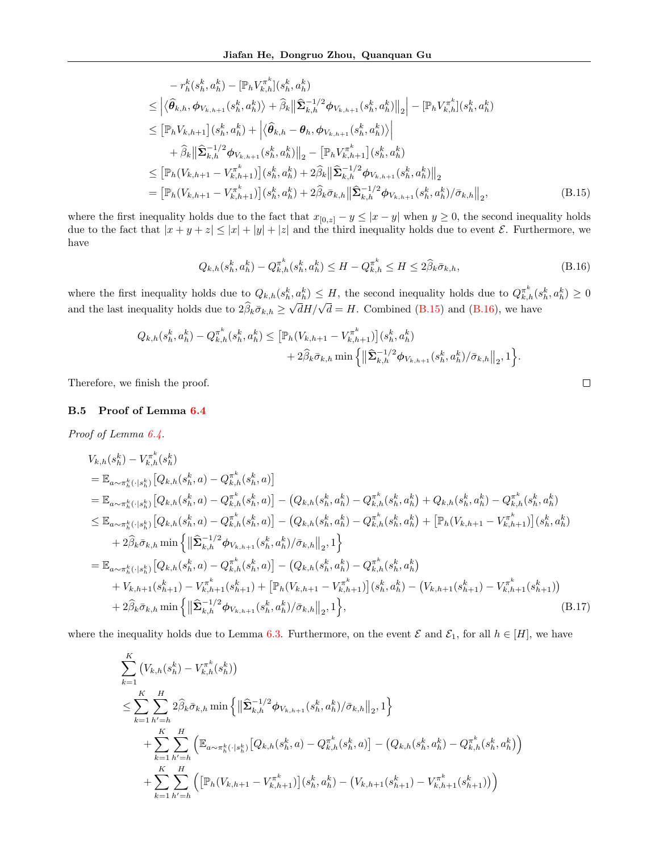$$
-r_h^k(s_h^k, a_h^k) - [\mathbb{P}_h V_{k,h}^{\pi^k}](s_h^k, a_h^k)
$$
  
\n
$$
\leq |\langle \hat{\theta}_{k,h}, \phi_{V_{k,h+1}}(s_h^k, a_h^k) \rangle + \hat{\beta}_k ||\hat{\Sigma}_{k,h}^{-1/2} \phi_{V_{k,h+1}}(s_h^k, a_h^k)||_2 - [\mathbb{P}_h V_{k,h}^{\pi^k}](s_h^k, a_h^k)
$$
  
\n
$$
\leq [\mathbb{P}_h V_{k,h+1}](s_h^k, a_h^k) + |\langle \hat{\theta}_{k,h} - \theta_h, \phi_{V_{k,h+1}}(s_h^k, a_h^k) \rangle|
$$
  
\n
$$
+ \hat{\beta}_k ||\hat{\Sigma}_{k,h}^{-1/2} \phi_{V_{k,h+1}}(s_h^k, a_h^k)||_2 - [\mathbb{P}_h V_{k,h+1}^{\pi^k}](s_h^k, a_h^k)
$$
  
\n
$$
\leq [\mathbb{P}_h (V_{k,h+1} - V_{k,h+1}^{\pi^k})](s_h^k, a_h^k) + 2\hat{\beta}_k ||\hat{\Sigma}_{k,h}^{-1/2} \phi_{V_{k,h+1}}(s_h^k, a_h^k)||_2
$$
  
\n
$$
= [\mathbb{P}_h (V_{k,h+1} - V_{k,h+1}^{\pi^k})](s_h^k, a_h^k) + 2\hat{\beta}_k \bar{\sigma}_{k,h} ||\hat{\Sigma}_{k,h}^{-1/2} \phi_{V_{k,h+1}}(s_h^k, a_h^k)/\bar{\sigma}_{k,h}||_2,
$$
\n(B.15)

where the first inequality holds due to the fact that  $x_{[0,z]} - y \leq |x - y|$  when  $y \geq 0$ , the second inequality holds due to the fact that  $|x + y + z| \leq |x| + |y| + |z|$  and the third inequality holds due to event  $\mathcal{E}$ . Furthermore, we have

$$
Q_{k,h}(s_h^k, a_h^k) - Q_{k,h}^{\pi^k}(s_h^k, a_h^k) \le H - Q_{k,h}^{\pi^k} \le H \le 2\hat{\beta}_k \bar{\sigma}_{k,h},\tag{B.16}
$$

where the first inequality holds due to  $Q_{k,h}(s_h^k, a_h^k) \leq H$ , the second inequality holds due to  $Q_{k,h}^{\pi^k}(s_h^k, a_h^k) \geq 0$ and the last inequality holds due to  $2\beta_k \bar{\sigma}_{k,h} \geq$  $\sqrt{d}H/\sqrt{d} = H$ . Combined [\(B.15\)](#page-18-0) and [\(B.16\)](#page-18-1), we have

$$
Q_{k,h}(s_h^k, a_h^k) - Q_{k,h}^{\pi^k}(s_h^k, a_h^k) \leq \left[ \mathbb{P}_h(V_{k,h+1} - V_{k,h+1}^{\pi^k}) \right] (s_h^k, a_h^k) + 2\widehat{\beta}_k \bar{\sigma}_{k,h} \min \left\{ \left\| \widehat{\Sigma}_{k,h}^{-1/2} \phi_{V_{k,h+1}}(s_h^k, a_h^k) / \bar{\sigma}_{k,h} \right\|_2, 1 \right\}.
$$

Therefore, we finish the proof.

#### B.5 Proof of Lemma [6.4](#page-7-1)

Proof of Lemma [6.4.](#page-7-1)

$$
V_{k,h}(s_h^k) - V_{k,h}^{\pi^k}(s_h^k)
$$
  
\n
$$
= \mathbb{E}_{a \sim \pi_h^k(\cdot | s_h^k)} [Q_{k,h}(s_h^k, a) - Q_{k,h}^{\pi^k}(s_h^k, a)]
$$
  
\n
$$
= \mathbb{E}_{a \sim \pi_h^k(\cdot | s_h^k)} [Q_{k,h}(s_h^k, a) - Q_{k,h}^{\pi^k}(s_h^k, a)] - (Q_{k,h}(s_h^k, a_h^k) - Q_{k,h}^{\pi^k}(s_h^k, a_h^k) + Q_{k,h}(s_h^k, a_h^k) - Q_{k,h}^{\pi^k}(s_h^k, a_h^k)
$$
  
\n
$$
\leq \mathbb{E}_{a \sim \pi_h^k(\cdot | s_h^k)} [Q_{k,h}(s_h^k, a) - Q_{k,h}^{\pi^k}(s_h^k, a)] - (Q_{k,h}(s_h^k, a_h^k) - Q_{k,h}^{\pi^k}(s_h^k, a_h^k) + [\mathbb{P}_h(V_{k,h+1} - V_{k,h+1}^{\pi^k})](s_h^k, a_h^k)
$$
  
\n
$$
+ 2\hat{\beta}_k \bar{\sigma}_{k,h} \min \left\{ \|\hat{\Sigma}_{k,h}^{-1/2} \phi_{V_{k,h+1}}(s_h^k, a_h^k)/\bar{\sigma}_{k,h} \|_{2}, 1 \right\}
$$
  
\n
$$
= \mathbb{E}_{a \sim \pi_h^k(\cdot | s_h^k)} [Q_{k,h}(s_h^k, a) - Q_{k,h}^{\pi^k}(s_h^k, a) - (Q_{k,h}(s_h^k, a_h^k) - Q_{k,h}^{\pi^k}(s_h^k, a_h^k))
$$
  
\n
$$
+ V_{k,h+1}(s_{h+1}^k) - V_{k,h+1}^{\pi^k}(s_{h+1}^k) + [\mathbb{P}_h(V_{k,h+1} - V_{k,h+1}^{\pi^k})](s_h^k, a_h^k) - (V_{k,h+1}(s_{h+1}^k) - V_{k,h+1}^{\pi^k}(s_{h+1}^k))
$$
  
\n
$$
+ 2\hat{\beta}_k \bar{\sigma}_{k,h} \min \left\{ \|\hat{\Sigma}_{k,h}^{-1/2} \phi
$$

where the inequality holds due to Lemma [6.3.](#page-7-0) Furthermore, on the event  $\mathcal E$  and  $\mathcal E_1$ , for all  $h \in [H]$ , we have

$$
\sum_{k=1}^{K} (V_{k,h}(s_h^k) - V_{k,h}^{\pi^k}(s_h^k))
$$
\n
$$
\leq \sum_{k=1}^{K} \sum_{h'=h}^{H} 2\widehat{\beta}_k \bar{\sigma}_{k,h} \min \left\{ \left\| \widehat{\Sigma}_{k,h}^{-1/2} \phi_{V_{k,h+1}}(s_h^k, a_h^k) / \bar{\sigma}_{k,h} \right\|_2, 1 \right\}
$$
\n
$$
+ \sum_{k=1}^{K} \sum_{h'=h}^{H} \left( \mathbb{E}_{a \sim \pi_h^k(\cdot | s_h^k)} \left[ Q_{k,h}(s_h^k, a) - Q_{k,h}^{\pi^k}(s_h^k, a) \right] - \left( Q_{k,h}(s_h^k, a_h^k) - Q_{k,h}^{\pi^k}(s_h^k, a_h^k) \right) \right.
$$
\n
$$
+ \sum_{k=1}^{K} \sum_{h'=h}^{H} \left( \left[ \mathbb{P}_h(V_{k,h+1} - V_{k,h+1}^{\pi^k}) \right] (s_h^k, a_h^k) - \left( V_{k,h+1}(s_{h+1}^k) - V_{k,h+1}^{\pi^k}(s_{h+1}^k) \right) \right)
$$

<span id="page-18-2"></span><span id="page-18-1"></span><span id="page-18-0"></span>
$$
\qquad \qquad \Box
$$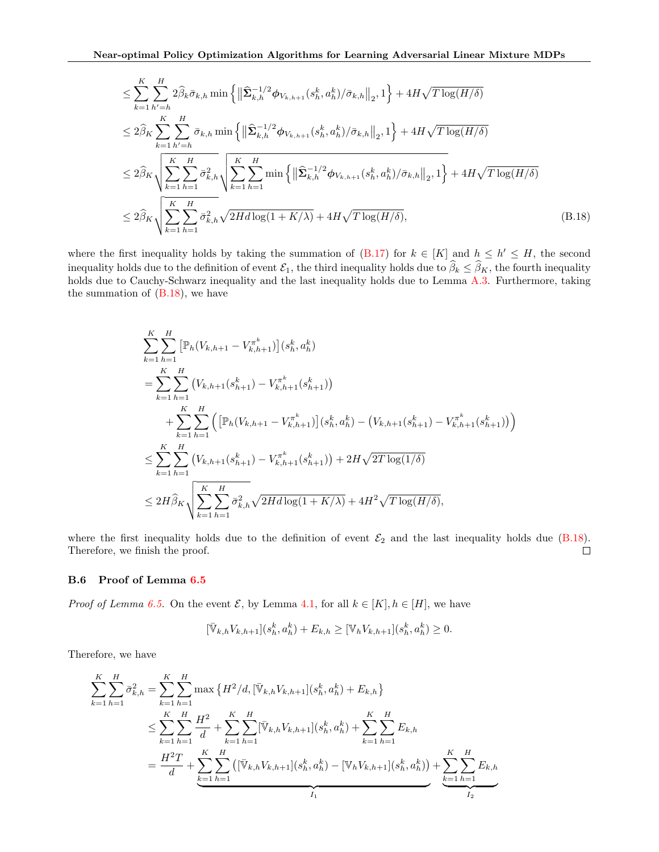$$
\leq \sum_{k=1}^{K} \sum_{h'=h}^{H} 2 \widehat{\beta}_{k} \bar{\sigma}_{k,h} \min \left\{ \left\| \widehat{\mathbf{\Sigma}}_{k,h}^{-1/2} \phi_{V_{k,h+1}}(s_{h}^{k}, a_{h}^{k}) / \bar{\sigma}_{k,h} \right\|_{2}, 1 \right\} + 4H\sqrt{T \log(H/\delta)}
$$
\n
$$
\leq 2 \widehat{\beta}_{K} \sum_{k=1}^{K} \sum_{h'=h}^{H} \bar{\sigma}_{k,h} \min \left\{ \left\| \widehat{\mathbf{\Sigma}}_{k,h}^{-1/2} \phi_{V_{k,h+1}}(s_{h}^{k}, a_{h}^{k}) / \bar{\sigma}_{k,h} \right\|_{2}, 1 \right\} + 4H\sqrt{T \log(H/\delta)}
$$
\n
$$
\leq 2 \widehat{\beta}_{K} \sqrt{\sum_{k=1}^{K} \sum_{h=1}^{H} \bar{\sigma}_{k,h}^{2}} \sqrt{\sum_{k=1}^{K} \sum_{h=1}^{H} \min \left\{ \left\| \widehat{\mathbf{\Sigma}}_{k,h}^{-1/2} \phi_{V_{k,h+1}}(s_{h}^{k}, a_{h}^{k}) / \bar{\sigma}_{k,h} \right\|_{2}, 1 \right\} + 4H\sqrt{T \log(H/\delta)}}
$$
\n
$$
\leq 2 \widehat{\beta}_{K} \sqrt{\sum_{k=1}^{K} \sum_{h=1}^{H} \bar{\sigma}_{k,h}^{2}} \sqrt{2H d \log(1 + K/\lambda)} + 4H\sqrt{T \log(H/\delta)}, \tag{B.18}
$$

where the first inequality holds by taking the summation of  $(B.17)$  for  $k \in [K]$  and  $h \leq h' \leq H$ , the second inequality holds due to the definition of event  $\mathcal{E}_1$ , the third inequality holds due to  $\widehat{\beta}_k \leq \widehat{\beta}_K$ , the fourth inequality holds due to Cauchy-Schwarz inequality and the last inequality holds due to Lemma [A.3.](#page-12-2) Furthermore, taking the summation of  $(B.18)$ , we have

<span id="page-19-0"></span>
$$
\sum_{k=1}^{K} \sum_{h=1}^{H} \left[ \mathbb{P}_{h}(V_{k,h+1} - V_{k,h+1}^{\pi^{k}}) \right] (s_{h}^{k}, a_{h}^{k})
$$
\n
$$
= \sum_{k=1}^{K} \sum_{h=1}^{H} \left( V_{k,h+1}(s_{h+1}^{k}) - V_{k,h+1}^{\pi^{k}}(s_{h+1}^{k}) \right)
$$
\n
$$
+ \sum_{k=1}^{K} \sum_{h=1}^{H} \left( \left[ \mathbb{P}_{h}(V_{k,h+1} - V_{k,h+1}^{\pi^{k}}) \right] (s_{h}^{k}, a_{h}^{k}) - (V_{k,h+1}(s_{h+1}^{k}) - V_{k,h+1}^{\pi^{k}}(s_{h+1}^{k})) \right)
$$
\n
$$
\leq \sum_{k=1}^{K} \sum_{h=1}^{H} \left( V_{k,h+1}(s_{h+1}^{k}) - V_{k,h+1}^{\pi^{k}}(s_{h+1}^{k}) \right) + 2H\sqrt{2T \log(1/\delta)}
$$
\n
$$
\leq 2H\widehat{\beta}_{K} \sqrt{\sum_{k=1}^{K} \sum_{h=1}^{H} \bar{\sigma}_{k,h}^{2} \sqrt{2H d \log(1 + K/\lambda)} + 4H^{2} \sqrt{T \log(H/\delta)},
$$

where the first inequality holds due to the definition of event  $\mathcal{E}_2$  and the last inequality holds due [\(B.18\)](#page-19-0). Therefore, we finish the proof.  $\Box$ 

#### B.6 Proof of Lemma [6.5](#page-8-1)

*Proof of Lemma [6.5.](#page-8-1)* On the event  $\mathcal{E}$ , by Lemma [4.1,](#page-5-2) for all  $k \in [K], h \in [H]$ , we have

$$
[\bar{\mathbb{V}}_{k,h}V_{k,h+1}](s_h^k, a_h^k) + E_{k,h} \geq [\mathbb{V}_hV_{k,h+1}](s_h^k, a_h^k) \geq 0.
$$

Therefore, we have

$$
\sum_{k=1}^{K} \sum_{h=1}^{H} \bar{\sigma}_{k,h}^{2} = \sum_{k=1}^{K} \sum_{h=1}^{H} \max \left\{ H^{2}/d, [\bar{\mathbb{V}}_{k,h} V_{k,h+1}](s_{h}^{k}, a_{h}^{k}) + E_{k,h} \right\}
$$
\n
$$
\leq \sum_{k=1}^{K} \sum_{h=1}^{H} \frac{H^{2}}{d} + \sum_{k=1}^{K} \sum_{h=1}^{H} [\bar{\mathbb{V}}_{k,h} V_{k,h+1}](s_{h}^{k}, a_{h}^{k}) + \sum_{k=1}^{K} \sum_{h=1}^{H} E_{k,h}
$$
\n
$$
= \frac{H^{2}T}{d} + \sum_{k=1}^{K} \sum_{h=1}^{H} ([\bar{\mathbb{V}}_{k,h} V_{k,h+1}](s_{h}^{k}, a_{h}^{k}) - [\mathbb{V}_{h} V_{k,h+1}](s_{h}^{k}, a_{h}^{k})) + \sum_{k=1}^{K} \sum_{h=1}^{H} E_{k,h}
$$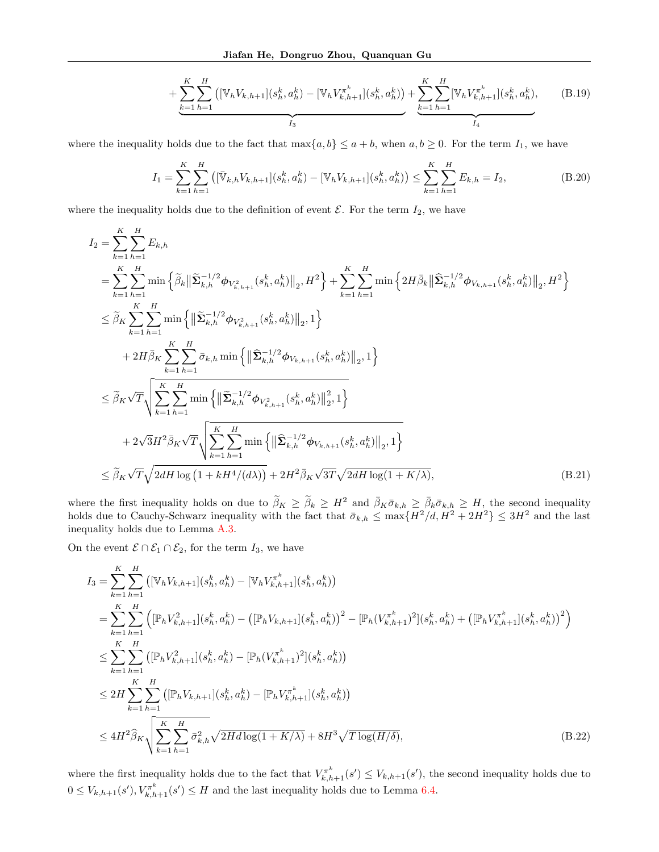<span id="page-20-3"></span><span id="page-20-0"></span>
$$
+\underbrace{\sum_{k=1}^{K} \sum_{h=1}^{H} \left( [\mathbb{V}_h V_{k,h+1}] (s_h^k, a_h^k) - [\mathbb{V}_h V_{k,h+1}^{\pi^k}](s_h^k, a_h^k) \right)}_{I_3} + \underbrace{\sum_{k=1}^{K} \sum_{h=1}^{H} [\mathbb{V}_h V_{k,h+1}^{\pi^k}](s_h^k, a_h^k)}_{I_4}, \quad (B.19)
$$

where the inequality holds due to the fact that  $\max\{a, b\} \le a + b$ , when  $a, b \ge 0$ . For the term  $I_1$ , we have

$$
I_1 = \sum_{k=1}^{K} \sum_{h=1}^{H} \left( [\bar{\mathbb{V}}_{k,h} V_{k,h+1}] (s_h^k, a_h^k) - [\mathbb{V}_h V_{k,h+1}] (s_h^k, a_h^k) \right) \le \sum_{k=1}^{K} \sum_{h=1}^{H} E_{k,h} = I_2,
$$
\n(B.20)

where the inequality holds due to the definition of event  $\mathcal{E}$ . For the term  $I_2$ , we have

$$
I_{2} = \sum_{k=1}^{K} \sum_{h=1}^{H} E_{k,h}
$$
  
\n
$$
= \sum_{k=1}^{K} \sum_{h=1}^{H} \min \left\{ \tilde{\beta}_{k} \|\tilde{\Sigma}_{k,h}^{-1/2} \phi_{V_{k,h+1}^{2}}(s_{h}^{k}, a_{h}^{k})\|_{2}, H^{2} \right\} + \sum_{k=1}^{K} \sum_{h=1}^{H} \min \left\{ 2H \bar{\beta}_{k} \|\tilde{\Sigma}_{k,h}^{-1/2} \phi_{V_{k,h+1}}(s_{h}^{k}, a_{h}^{k})\|_{2}, H^{2} \right\}
$$
  
\n
$$
\leq \tilde{\beta}_{K} \sum_{k=1}^{K} \sum_{h=1}^{H} \min \left\{ \|\tilde{\Sigma}_{k,h}^{-1/2} \phi_{V_{k,h+1}^{2}}(s_{h}^{k}, a_{h}^{k})\|_{2}, 1 \right\}
$$
  
\n
$$
+ 2H \bar{\beta}_{K} \sum_{k=1}^{K} \sum_{h=1}^{H} \bar{\sigma}_{k,h} \min \left\{ \|\tilde{\Sigma}_{k,h}^{-1/2} \phi_{V_{k,h+1}}(s_{h}^{k}, a_{h}^{k})\|_{2}, 1 \right\}
$$
  
\n
$$
\leq \tilde{\beta}_{K} \sqrt{T} \sqrt{\sum_{k=1}^{K} \sum_{h=1}^{H} \min \left\{ \|\tilde{\Sigma}_{k,h}^{-1/2} \phi_{V_{k,h+1}^{2}}(s_{h}^{k}, a_{h}^{k})\|_{2}^{2}, 1 \right\}}
$$
  
\n
$$
+ 2\sqrt{3}H^{2} \bar{\beta}_{K} \sqrt{T} \sqrt{\sum_{k=1}^{K} \sum_{h=1}^{H} \min \left\{ \|\hat{\Sigma}_{k,h}^{-1/2} \phi_{V_{k,h+1}}(s_{h}^{k}, a_{h}^{k})\|_{2}, 1 \right\}}
$$
  
\n
$$
\leq \tilde{\beta}_{K} \sqrt{T} \sqrt{2dH \log (1 + kH^{4}/(d\lambda))} + 2H^{2} \bar{\beta}_{K} \sqrt{3T} \sqrt{2dH \log (1 + K/\lambda)}, \tag{B.21}
$$

where the first inequality holds on due to  $\widetilde{\beta}_K \geq \widetilde{\beta}_k \geq H^2$  and  $\overline{\beta}_K \overline{\sigma}_{k,h} \geq \overline{\beta}_k \overline{\sigma}_{k,h} \geq H$ , the second inequality holds due to Cauchy-Schwarz inequality with the fact that  $\bar{\sigma}_{k,h} \le \max\{H^2/d, H^2 + 2H^2\} \le 3H^2$  and the last inequality holds due to Lemma [A.3.](#page-12-2)

On the event  $\mathcal{E} \cap \mathcal{E}_1 \cap \mathcal{E}_2$ , for the term  $I_3$ , we have

<span id="page-20-1"></span>
$$
I_{3} = \sum_{k=1}^{K} \sum_{h=1}^{H} \left( [\mathbb{V}_{h} V_{k,h+1}] (s_{h}^{k}, a_{h}^{k}) - [\mathbb{V}_{h} V_{k,h+1}^{\pi^{k}}] (s_{h}^{k}, a_{h}^{k}) \right)
$$
  
\n
$$
= \sum_{k=1}^{K} \sum_{h=1}^{H} \left( [\mathbb{P}_{h} V_{k,h+1}^{2}] (s_{h}^{k}, a_{h}^{k}) - ([\mathbb{P}_{h} V_{k,h+1}] (s_{h}^{k}, a_{h}^{k})]^{2} - [\mathbb{P}_{h} (V_{k,h+1}^{\pi^{k}})^{2}] (s_{h}^{k}, a_{h}^{k}) + ([\mathbb{P}_{h} V_{k,h+1}^{\pi^{k}}] (s_{h}^{k}, a_{h}^{k})]^{2} \right)
$$
  
\n
$$
\leq \sum_{k=1}^{K} \sum_{h=1}^{H} \left( [\mathbb{P}_{h} V_{k,h+1}^{2}] (s_{h}^{k}, a_{h}^{k}) - [\mathbb{P}_{h} (V_{k,h+1}^{\pi^{k}})^{2}] (s_{h}^{k}, a_{h}^{k}) \right)
$$
  
\n
$$
\leq 2H \sum_{k=1}^{K} \sum_{h=1}^{H} \left( [\mathbb{P}_{h} V_{k,h+1}] (s_{h}^{k}, a_{h}^{k}) - [\mathbb{P}_{h} V_{k,h+1}^{\pi^{k}}] (s_{h}^{k}, a_{h}^{k}) \right)
$$
  
\n
$$
\leq 4H^{2} \widehat{\beta}_{K} \sqrt{\sum_{k=1}^{K} \sum_{h=1}^{H} \bar{\sigma}_{k,h}^{2} \sqrt{2H d \log(1 + K/\lambda)} + 8H^{3} \sqrt{T \log(H/\delta)},
$$
\n(B.22)

<span id="page-20-2"></span>where the first inequality holds due to the fact that  $V_{k,h+1}^{\pi^k}(s') \leq V_{k,h+1}(s')$ , the second inequality holds due to  $0 \leq V_{k,h+1}(s'), V_{k,h+1}^{\pi^k}(s') \leq H$  and the last inequality holds due to Lemma [6.4.](#page-7-1)